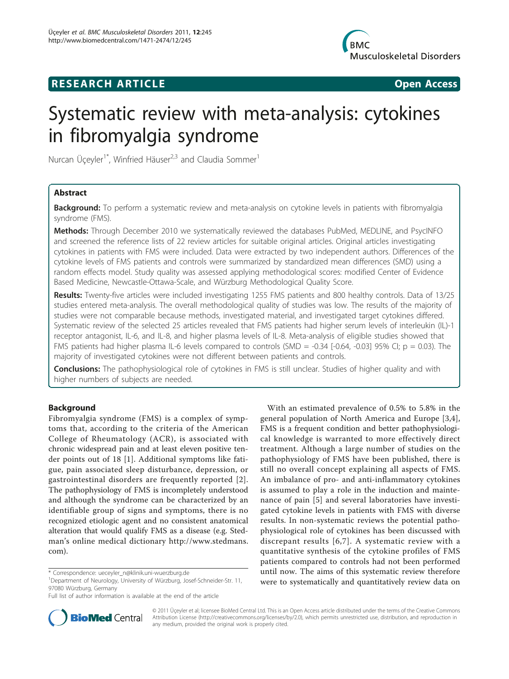# **RESEARCH ARTICLE Example 2018 Open Access**



# Systematic review with meta-analysis: cytokines in fibromyalgia syndrome

Nurcan Üçeyler<sup>1\*</sup>, Winfried Häuser<sup>2,3</sup> and Claudia Sommer<sup>1</sup>

# Abstract

**Background:** To perform a systematic review and meta-analysis on cytokine levels in patients with fibromyalgia syndrome (FMS).

Methods: Through December 2010 we systematically reviewed the databases PubMed, MEDLINE, and PsycINFO and screened the reference lists of 22 review articles for suitable original articles. Original articles investigating cytokines in patients with FMS were included. Data were extracted by two independent authors. Differences of the cytokine levels of FMS patients and controls were summarized by standardized mean differences (SMD) using a random effects model. Study quality was assessed applying methodological scores: modified Center of Evidence Based Medicine, Newcastle-Ottawa-Scale, and Würzburg Methodological Quality Score.

Results: Twenty-five articles were included investigating 1255 FMS patients and 800 healthy controls. Data of 13/25 studies entered meta-analysis. The overall methodological quality of studies was low. The results of the majority of studies were not comparable because methods, investigated material, and investigated target cytokines differed. Systematic review of the selected 25 articles revealed that FMS patients had higher serum levels of interleukin (IL)-1 receptor antagonist, IL-6, and IL-8, and higher plasma levels of IL-8. Meta-analysis of eligible studies showed that FMS patients had higher plasma IL-6 levels compared to controls (SMD = -0.34  $[-0.64, -0.03]$  95% CI; p = 0.03). The majority of investigated cytokines were not different between patients and controls.

**Conclusions:** The pathophysiological role of cytokines in FMS is still unclear. Studies of higher quality and with higher numbers of subjects are needed.

### Background

Fibromyalgia syndrome (FMS) is a complex of symptoms that, according to the criteria of the American College of Rheumatology (ACR), is associated with chronic widespread pain and at least eleven positive tender points out of 18 [\[1](#page-14-0)]. Additional symptoms like fatigue, pain associated sleep disturbance, depression, or gastrointestinal disorders are frequently reported [[2\]](#page-14-0). The pathophysiology of FMS is incompletely understood and although the syndrome can be characterized by an identifiable group of signs and symptoms, there is no recognized etiologic agent and no consistent anatomical alteration that would qualify FMS as a disease (e.g. Stedman's online medical dictionary [http://www.stedmans.](http://www.stedmans.com) [com](http://www.stedmans.com)).

With an estimated prevalence of 0.5% to 5.8% in the general population of North America and Europe [[3,4](#page-14-0)], FMS is a frequent condition and better pathophysiological knowledge is warranted to more effectively direct treatment. Although a large number of studies on the pathophysiology of FMS have been published, there is still no overall concept explaining all aspects of FMS. An imbalance of pro- and anti-inflammatory cytokines is assumed to play a role in the induction and maintenance of pain [\[5](#page-14-0)] and several laboratories have investigated cytokine levels in patients with FMS with diverse results. In non-systematic reviews the potential pathophysiological role of cytokines has been discussed with discrepant results [[6,7\]](#page-14-0). A systematic review with a quantitative synthesis of the cytokine profiles of FMS patients compared to controls had not been performed until now. The aims of this systematic review therefore were to systematically and quantitatively review data on



© 2011 Üçeyler et al; licensee BioMed Central Ltd. This is an Open Access article distributed under the terms of the Creative Commons Attribution License [\(http://creativecommons.org/licenses/by/2.0](http://creativecommons.org/licenses/by/2.0)), which permits unrestricted use, distribution, and reproduction in any medium, provided the original work is properly cited.

<sup>\*</sup> Correspondence: [ueceyler\\_n@klinik.uni-wuerzburg.de](mailto:ueceyler_n@klinik.uni-wuerzburg.de)

<sup>&</sup>lt;sup>1</sup>Department of Neurology, University of Würzburg, Josef-Schneider-Str. 11, 97080 Würzburg, Germany

Full list of author information is available at the end of the article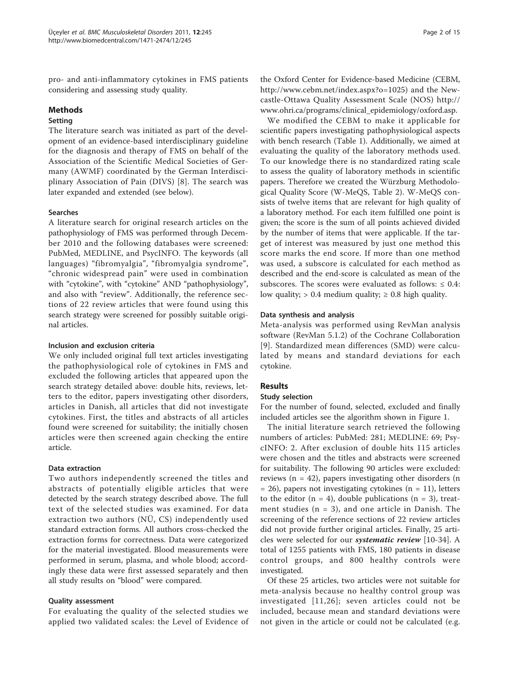pro- and anti-inflammatory cytokines in FMS patients considering and assessing study quality.

### Methods

### Setting

The literature search was initiated as part of the development of an evidence-based interdisciplinary guideline for the diagnosis and therapy of FMS on behalf of the Association of the Scientific Medical Societies of Germany (AWMF) coordinated by the German Interdisciplinary Association of Pain (DIVS) [[8](#page-14-0)]. The search was later expanded and extended (see below).

### Searches

A literature search for original research articles on the pathophysiology of FMS was performed through December 2010 and the following databases were screened: PubMed, MEDLINE, and PsycINFO. The keywords (all languages) "fibromyalgia", "fibromyalgia syndrome", "chronic widespread pain" were used in combination with "cytokine", with "cytokine" AND "pathophysiology", and also with "review". Additionally, the reference sections of 22 review articles that were found using this search strategy were screened for possibly suitable original articles.

### Inclusion and exclusion criteria

We only included original full text articles investigating the pathophysiological role of cytokines in FMS and excluded the following articles that appeared upon the search strategy detailed above: double hits, reviews, letters to the editor, papers investigating other disorders, articles in Danish, all articles that did not investigate cytokines. First, the titles and abstracts of all articles found were screened for suitability; the initially chosen articles were then screened again checking the entire article.

### Data extraction

Two authors independently screened the titles and abstracts of potentially eligible articles that were detected by the search strategy described above. The full text of the selected studies was examined. For data extraction two authors (NÜ, CS) independently used standard extraction forms. All authors cross-checked the extraction forms for correctness. Data were categorized for the material investigated. Blood measurements were performed in serum, plasma, and whole blood; accordingly these data were first assessed separately and then all study results on "blood" were compared.

### Quality assessment

For evaluating the quality of the selected studies we applied two validated scales: the Level of Evidence of

We modified the CEBM to make it applicable for scientific papers investigating pathophysiological aspects with bench research (Table [1\)](#page-2-0). Additionally, we aimed at evaluating the quality of the laboratory methods used. To our knowledge there is no standardized rating scale to assess the quality of laboratory methods in scientific papers. Therefore we created the Würzburg Methodological Quality Score (W-MeQS, Table [2\)](#page-2-0). W-MeQS consists of twelve items that are relevant for high quality of a laboratory method. For each item fulfilled one point is given; the score is the sum of all points achieved divided by the number of items that were applicable. If the target of interest was measured by just one method this score marks the end score. If more than one method was used, a subscore is calculated for each method as described and the end-score is calculated as mean of the subscores. The scores were evaluated as follows:  $\leq 0.4$ : low quality;  $> 0.4$  medium quality;  $\geq 0.8$  high quality.

### Data synthesis and analysis

Meta-analysis was performed using RevMan analysis software (RevMan 5.1.2) of the Cochrane Collaboration [[9](#page-14-0)]. Standardized mean differences (SMD) were calculated by means and standard deviations for each cytokine.

### Results

### Study selection

For the number of found, selected, excluded and finally included articles see the algorithm shown in Figure [1.](#page-3-0)

The initial literature search retrieved the following numbers of articles: PubMed: 281; MEDLINE: 69; PsycINFO: 2. After exclusion of double hits 115 articles were chosen and the titles and abstracts were screened for suitability. The following 90 articles were excluded: reviews  $(n = 42)$ , papers investigating other disorders  $(n = 42)$  $= 26$ ), papers not investigating cytokines (n  $= 11$ ), letters to the editor  $(n = 4)$ , double publications  $(n = 3)$ , treatment studies  $(n = 3)$ , and one article in Danish. The screening of the reference sections of 22 review articles did not provide further original articles. Finally, 25 articles were selected for our *systematic review* [\[10](#page-14-0)-[34\]](#page-14-0). A total of 1255 patients with FMS, 180 patients in disease control groups, and 800 healthy controls were investigated.

Of these 25 articles, two articles were not suitable for meta-analysis because no healthy control group was investigated [[11](#page-14-0),[26\]](#page-14-0); seven articles could not be included, because mean and standard deviations were not given in the article or could not be calculated (e.g.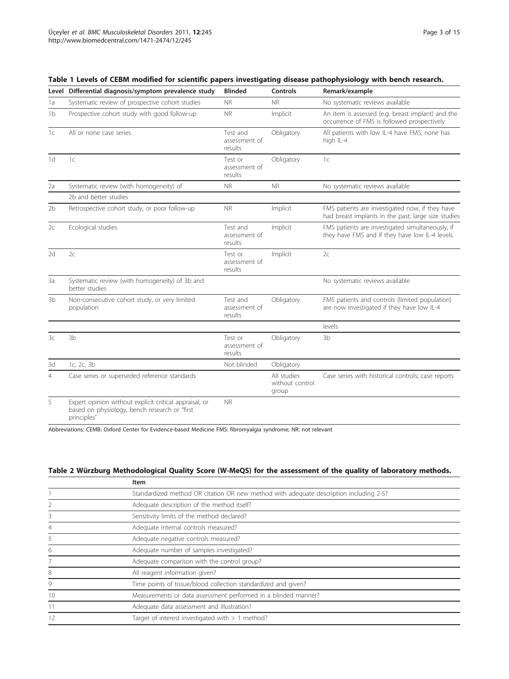|                | Level Differential diagnosis/symptom prevalence study                                                                  | <b>Blinded</b>                       | <b>Controls</b>                         | Remark/example                                                                                         |
|----------------|------------------------------------------------------------------------------------------------------------------------|--------------------------------------|-----------------------------------------|--------------------------------------------------------------------------------------------------------|
| 1a             | Systematic review of prospective cohort studies                                                                        | <b>NR</b>                            | <b>NR</b>                               | No systematic reviews available                                                                        |
| 1 <sub>b</sub> | Prospective cohort study with good follow-up                                                                           | <b>NR</b>                            | Implicit                                | An item is assessed (e.g. breast implant) and the<br>occurrence of FMS is followed prospectively       |
| 1c             | All or none case series                                                                                                | Test and<br>assessment of<br>results | Obligatory                              | All patients with low IL-4 have FMS, none has<br>high IL-4                                             |
| 1 <sub>d</sub> | 1 <sup>c</sup>                                                                                                         | Test or<br>assessment of<br>results  | Obligatory                              | 1 <sup>c</sup>                                                                                         |
| 2a             | Systematic review (with homogeneity) of                                                                                | <b>NR</b>                            | <b>NR</b>                               | No systematic reviews available                                                                        |
|                | 2b and better studies                                                                                                  |                                      |                                         |                                                                                                        |
| 2 <sub>b</sub> | Retrospective cohort study, or poor follow-up                                                                          | <b>NR</b>                            | Implicit                                | FMS patients are investigated now, if they have<br>had breast implants in the past; large size studies |
| 2c             | Ecological studies                                                                                                     | Test and<br>assessment of<br>results | Implicit                                | FMS patients are investigated simultaneously, if<br>they have FMS and if they have low IL-4 levels.    |
| 2d             | 2c                                                                                                                     | Test or<br>assessment of<br>results  | Implicit                                | 2c                                                                                                     |
| 3a             | Systematic review (with homogeneity) of 3b and<br>better studies                                                       |                                      |                                         | No systematic reviews available                                                                        |
| 3b             | Non-consecutive cohort study, or very limited<br>population                                                            | Test and<br>assessment of<br>results | Obligatory                              | FMS patients and controls (limited population)<br>are now investigated if they have low IL-4           |
|                |                                                                                                                        |                                      |                                         | levels                                                                                                 |
| 3c             | 3b                                                                                                                     | Test or<br>assessment of<br>results  | Obligatory                              | 3 <sub>b</sub>                                                                                         |
| 3d             | 1c, 2c, 3b                                                                                                             | Not blinded                          | Obligatory                              |                                                                                                        |
| 4              | Case series or superseded reference standards                                                                          |                                      | All studies<br>without control<br>group | Case series with historical controls; case reports                                                     |
| 5              | Expert opinion without explicit critical appraisal, or<br>based on physiology, bench research or "first<br>principles" | <b>NR</b>                            |                                         |                                                                                                        |

# <span id="page-2-0"></span>Table 1 Levels of CEBM modified for scientific papers investigating disease pathophysiology with bench research.

Abbreviations: CEMB: Oxford Center for Evidence-based Medicine FMS: fibromyalgia syndrome; NR: not relevant

### Table 2 Würzburg Methodological Quality Score (W-MeQS) for the assessment of the quality of laboratory methods.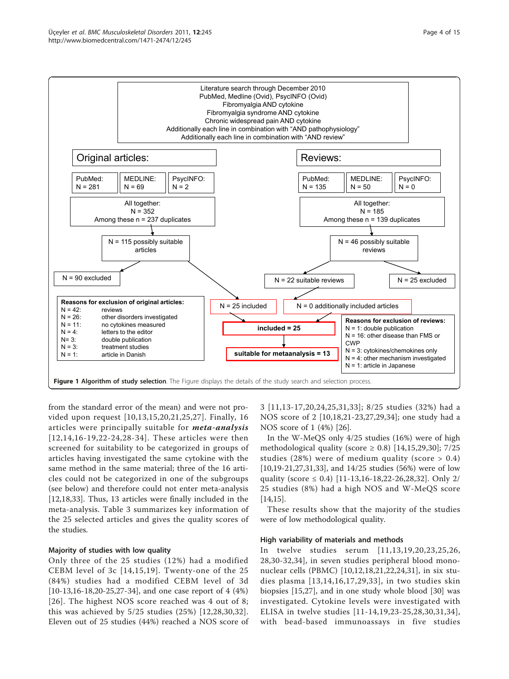<span id="page-3-0"></span>

from the standard error of the mean) and were not provided upon request [\[10,13,15,20](#page-14-0),[21](#page-14-0),[25,27\]](#page-14-0). Finally, 16 articles were principally suitable for *meta-analysis* [[12](#page-14-0),[14](#page-14-0),[16-19,22-24,28](#page-14-0)-[34\]](#page-14-0). These articles were then screened for suitability to be categorized in groups of articles having investigated the same cytokine with the same method in the same material; three of the 16 articles could not be categorized in one of the subgroups (see below) and therefore could not enter meta-analysis [[12,18,33](#page-14-0)]. Thus, 13 articles were finally included in the meta-analysis. Table [3](#page-4-0) summarizes key information of the 25 selected articles and gives the quality scores of the studies.

### Majority of studies with low quality

Only three of the 25 studies (12%) had a modified CEBM level of 3c [[14](#page-14-0),[15](#page-14-0),[19\]](#page-14-0). Twenty-one of the 25 (84%) studies had a modified CEBM level of 3d [[10-13,16-18](#page-14-0),[20](#page-14-0)-[25,27-34](#page-14-0)], and one case report of 4 (4%) [[26\]](#page-14-0). The highest NOS score reached was 4 out of 8; this was achieved by 5/25 studies (25%) [[12,28,30](#page-14-0),[32](#page-14-0)]. Eleven out of 25 studies (44%) reached a NOS score of 3 [[11,13-17,20,24,25,31,33\]](#page-14-0); 8/25 studies (32%) had a NOS score of 2 [[10,18](#page-14-0),[21-23](#page-14-0),[27,29,34](#page-14-0)]; one study had a NOS score of 1 (4%) [\[26](#page-14-0)].

In the W-MeQS only 4/25 studies (16%) were of high methodological quality (score  $\geq$  0.8) [[14,15](#page-14-0),[29,30](#page-14-0)]; 7/25 studies (28%) were of medium quality (score  $> 0.4$ ) [[10,19-21,27,31,33\]](#page-14-0), and 14/25 studies (56%) were of low quality (score  $\leq$  0.4) [[11-13](#page-14-0),[16-18](#page-14-0),[22-26](#page-14-0),[28,32](#page-14-0)]. Only 2/ 25 studies (8%) had a high NOS and W-MeQS score [[14,15\]](#page-14-0).

These results show that the majority of the studies were of low methodological quality.

### High variability of materials and methods

In twelve studies serum [[11](#page-14-0),[13,19](#page-14-0),[20](#page-14-0),[23,25](#page-14-0),[26](#page-14-0), [28,30-32,34](#page-14-0)], in seven studies peripheral blood mononuclear cells (PBMC) [[10](#page-14-0),[12,18,21](#page-14-0),[22,24,31\]](#page-14-0), in six studies plasma [[13,14,16](#page-14-0),[17,29](#page-14-0),[33](#page-14-0)], in two studies skin biopsies [\[15,27](#page-14-0)], and in one study whole blood [[30\]](#page-14-0) was investigated. Cytokine levels were investigated with ELISA in twelve studies [[11](#page-14-0)-[14,19](#page-14-0),[23](#page-14-0)-[25,28](#page-14-0),[30](#page-14-0),[31](#page-14-0),[34](#page-14-0)], with bead-based immunoassays in five studies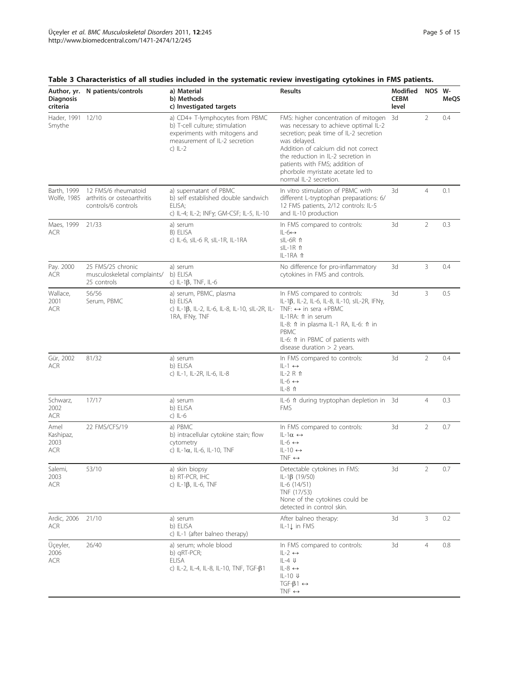| <b>Diagnosis</b><br>criteria                                                             | <b>Results</b><br>Author, yr. N patients/controls<br>a) Material<br>b) Methods<br>c) Investigated targets                       |                                                                                                                                                                                                                                                    |                                                                                                                                                                                                                                                                                                                       | <b>Modified</b><br><b>CEBM</b><br>level | NOS W-         | MeQS |
|------------------------------------------------------------------------------------------|---------------------------------------------------------------------------------------------------------------------------------|----------------------------------------------------------------------------------------------------------------------------------------------------------------------------------------------------------------------------------------------------|-----------------------------------------------------------------------------------------------------------------------------------------------------------------------------------------------------------------------------------------------------------------------------------------------------------------------|-----------------------------------------|----------------|------|
| Hader, 1991 12/10<br>Smythe                                                              |                                                                                                                                 | a) CD4+ T-lymphocytes from PBMC<br>b) T-cell culture; stimulation<br>experiments with mitogens and<br>measurement of IL-2 secretion<br>c) $IL-2$                                                                                                   | FMS: higher concentration of mitogen<br>was necessary to achieve optimal IL-2<br>secretion; peak time of IL-2 secretion<br>was delayed.<br>Addition of calcium did not correct<br>the reduction in IL-2 secretion in<br>patients with FMS; addition of<br>phorbole myristate acetate led to<br>normal IL-2 secretion. | - 3d                                    | 2              | 0.4  |
| Barth, 1999<br>Wolfe, 1985                                                               | 12 FMS/6 rheumatoid<br>arthritis or osteoarthritis<br>controls/6 controls                                                       | a) supernatant of PBMC<br>b) self established double sandwich<br>ELISA;<br>c) IL-4; IL-2; INFy; GM-CSF; IL-5, IL-10                                                                                                                                | In vitro stimulation of PBMC with<br>different L-tryptophan preparations: 6/<br>12 FMS patients, 2/12 controls: IL-5<br>and IL-10 production                                                                                                                                                                          | 3d                                      | $\overline{4}$ | 0.1  |
| Maes, 1999<br>ACR                                                                        | 21/33                                                                                                                           | In FMS compared to controls:<br>a) serum<br>B) ELISA<br>$IL-6 \leftrightarrow$<br>sIL-6R n<br>c) IL-6, sIL-6 R, sIL-1R, IL-1RA<br>$sIL-1R$ $\hat{n}$<br>IL-1RA n                                                                                   |                                                                                                                                                                                                                                                                                                                       | 3d                                      | 2              | 0.3  |
| Pay. 2000<br>ACR.                                                                        | 25 FMS/25 chronic<br>musculoskeletal complaints/<br>25 controls                                                                 | a) serum<br>b) ELISA<br>c) IL-1 $\beta$ , TNF, IL-6                                                                                                                                                                                                | No difference for pro-inflammatory<br>cytokines in FMS and controls.                                                                                                                                                                                                                                                  |                                         | 3              | 0.4  |
| 56/56<br>Wallace,<br>Serum, PBMC<br>2001<br>ACR                                          |                                                                                                                                 | a) serum, PBMC, plasma<br>b) ELISA<br>c) IL-1β, IL-2, IL-6, IL-8, IL-10, sIL-2R, IL-<br>1RA, IFNy, TNF                                                                                                                                             | In FMS compared to controls:<br>IL-1B, IL-2, IL-6, IL-8, IL-10, sIL-2R, IFNy,<br>TNF: $\leftrightarrow$ in sera +PBMC<br>IL-1RA: ft in serum<br>IL-8: $\hat{n}$ in plasma IL-1 RA, IL-6: $\hat{n}$ in<br>PBMC<br>IL-6: ft in PBMC of patients with<br>disease duration $> 2$ years.                                   | 3d                                      | 3              | 0.5  |
| Gür, 2002<br>ACR                                                                         | 81/32<br>a) serum<br>b) ELISA<br>$ L-1 \leftrightarrow$<br>$IL-2 Rn$<br>c) IL-1, IL-2R, IL-6, IL-8<br>$IL-6 \leftrightarrow$    |                                                                                                                                                                                                                                                    | In FMS compared to controls:<br>IL-8 ft                                                                                                                                                                                                                                                                               | 3d                                      | $\overline{2}$ | 0.4  |
| Schwarz,<br>2002<br>ACR                                                                  | 17/17                                                                                                                           | a) serum<br>b) ELISA<br>c) $IL-6$                                                                                                                                                                                                                  | IL-6 ft during tryptophan depletion in 3d<br>FMS                                                                                                                                                                                                                                                                      |                                         | $\overline{4}$ | 0.3  |
| Amel<br>Kashipaz,<br>2003<br>ACR                                                         | 22 FMS/CFS/19                                                                                                                   | a) PBMC<br>In FMS compared to controls:<br>b) intracellular cytokine stain; flow<br>$ L-1\alpha \leftrightarrow$<br>$IL-6 \leftrightarrow$<br>cytometry<br>c) IL-1 $\alpha$ , IL-6, IL-10, TNF<br>$IL-10 \leftrightarrow$<br>TNF $\leftrightarrow$ |                                                                                                                                                                                                                                                                                                                       | 3d                                      | $\overline{2}$ | 0.7  |
| Salemi,<br>2003<br><b>ACR</b>                                                            | 53/10<br>a) skin biopsy<br>b) RT-PCR, IHC<br>$IL-1\beta$ (19/50)<br>c) IL-1 $\beta$ , IL-6, TNF<br>$IL-6(14/51)$<br>TNF (17/53) |                                                                                                                                                                                                                                                    | Detectable cytokines in FMS:<br>None of the cytokines could be<br>detected in control skin.                                                                                                                                                                                                                           | 3d                                      | $\overline{2}$ | 0.7  |
| Ardic, 2006<br>ACR.                                                                      | 21/10                                                                                                                           | a) serum<br>b) ELISA<br>c) IL-1 (after balneo therapy)                                                                                                                                                                                             | After balneo therapy:<br>IL-1↓ in FMS                                                                                                                                                                                                                                                                                 | 3d                                      | 3              | 0.2  |
| Üçeyler,<br>26/40<br>a) serum; whole blood<br>2006<br>b) qRT-PCR;<br>ACR<br><b>ELISA</b> |                                                                                                                                 | c) IL-2, IL-4, IL-8, IL-10, TNF, TGF-B1                                                                                                                                                                                                            | In FMS compared to controls:<br>$IL-2 \leftrightarrow$<br>$IL-4$<br>$IL-8 \leftrightarrow$<br>$IL-10 \Downarrow$<br>$TGF-B1 \leftrightarrow$<br>TNF $\leftrightarrow$                                                                                                                                                 | $\overline{4}$                          | 0.8            |      |

# <span id="page-4-0"></span>Table 3 Characteristics of all studies included in the systematic review investigating cytokines in FMS patients.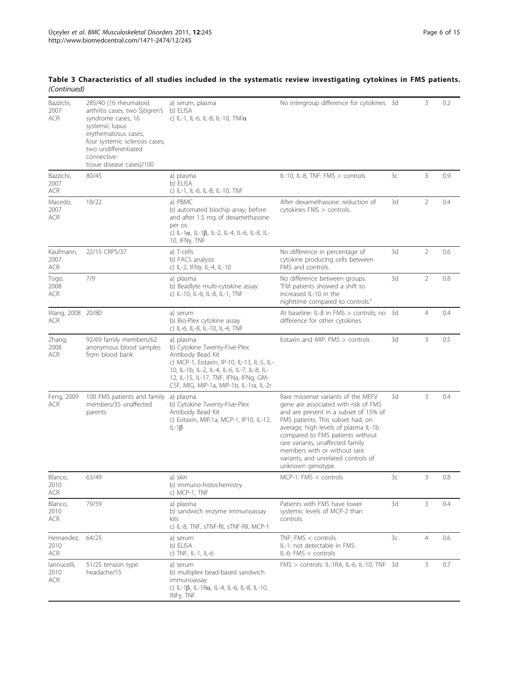## Table 3 Characteristics of all studies included in the systematic review investigating cytokines in FMS patients. (Continued)

| Bazzichi,<br>2007<br>ACR          | 285/40 (16 rheumatoid<br>arthritis cases, two Sjögren's<br>syndrome cases, 16<br>systemic lupus<br>erythematosus cases,<br>four systemic sclerosis cases,<br>two undifferentiated<br>connective-<br>tissue disease cases)/100 | a) serum, plasma<br>b) ELISA<br>c) IL-1, IL-6, IL-8, IL-10, TNFα                                                                                                                                                                                  | No intergroup difference for cytokines. 3d                                                                                                                                                                                                                                                                                                                           |                | 3              | 0.2 |
|-----------------------------------|-------------------------------------------------------------------------------------------------------------------------------------------------------------------------------------------------------------------------------|---------------------------------------------------------------------------------------------------------------------------------------------------------------------------------------------------------------------------------------------------|----------------------------------------------------------------------------------------------------------------------------------------------------------------------------------------------------------------------------------------------------------------------------------------------------------------------------------------------------------------------|----------------|----------------|-----|
| Bazzichi,<br>2007<br>ACR          | 80/45                                                                                                                                                                                                                         | a) plasma<br>b) ELISA<br>c) IL-1, IL-6, IL-8, IL-10, TNF                                                                                                                                                                                          | IL-10, IL-8, TNF: FMS > controls                                                                                                                                                                                                                                                                                                                                     | 3c             | 3              | 0.9 |
| Macedo,<br>2007<br><b>ACR</b>     | 18/22                                                                                                                                                                                                                         | a) PBMC<br>After dexamethasone: reduction of<br>cytokines FMS > controls.<br>b) automated biochip array; before<br>and after 1.5 mg of dexamethasone<br>per os<br>c) IL-1 $\alpha$ , IL-1 $\beta$ , IL-2, IL-4, IL-6, IL-8, IL-<br>10, IFNy, TNF  |                                                                                                                                                                                                                                                                                                                                                                      | 3d             | $\overline{2}$ | 0.4 |
| Kaufmann,<br>2007<br>ACR          | 22/15 CRPS/37                                                                                                                                                                                                                 | a) T-cells<br>b) FACS analysis<br>c) IL-2, IFNy, IL-4, IL-10                                                                                                                                                                                      | No difference in percentage of<br>cytokine producing cells between<br>FMS and controls.                                                                                                                                                                                                                                                                              | 3d             | $\overline{2}$ | 0.6 |
| Togo,<br>2008<br>ACR              | 7/9                                                                                                                                                                                                                           | No difference between groups.<br>a) plasma<br>b) Beadlyte multi-cytokine assay<br>"FM patients showed a shift to<br>c) IL-10, IL-6, IL-8, IL-1, TNF<br>increased IL-10 in the<br>nighttime compared to controls."                                 |                                                                                                                                                                                                                                                                                                                                                                      | 3d             | $\overline{2}$ | 0.8 |
| Wang, 2008 20/80<br><b>ACR</b>    |                                                                                                                                                                                                                               | At baseline: IL-8 in FMS > controls; no 3d<br>a) serum<br>b) Bio-Plex cytokine assay<br>difference for other cytokines.<br>c) IL-6, IL-8, IL-10, IL-4, TNF                                                                                        |                                                                                                                                                                                                                                                                                                                                                                      |                | $\overline{4}$ | 0.4 |
| Zhang,<br>2008<br>ACR             | 92/69 family members/62<br>anonymous blood samples<br>from blood bank                                                                                                                                                         | a) plasma<br>b) Cytokine Twenty-Five-Plex<br>Antibody Bead Kit<br>c) MCP-1, Eotaxin, IP-10, IL-13, IL-5, IL-<br>10, IL-1b, IL-2, IL-4, IL-6, IL-7, IL-8, IL-<br>12, IL-15, IL-17, TNF, IFNa, IFNg, GM-<br>CSF, MIG, MIP-1a, MIP-1b, IL-1ra, IL-2r | Eotaxin and MIP: FMS > controls                                                                                                                                                                                                                                                                                                                                      | 3d             | 3              | 0.5 |
| Feng, 2009<br><b>ACR</b>          | 100 FMS patients and family<br>members/35 unaffected<br>parents                                                                                                                                                               | a) plasma<br>b) Cytokine Twenty-Five-Plex<br>Antibody Bead Kit<br>c) Eotaxin, MIP.1a, MCP-1, IP10, IL-12,<br>IL-1 $\beta$                                                                                                                         | Rare missense variants of the MEFV<br>gene are associated with risk of FMS<br>and are present in a subset of 15% of<br>FMS patients. This subset had, on<br>average, high levels of plasma IL-1b<br>compared to FMS patients without<br>rare variants, unaffected family<br>members with or without rare<br>variants, and unrelated controls of<br>unknown genotype. | 3d             | 3              | 0.4 |
| Blanco,<br>2010<br>ACR            | 63/49                                                                                                                                                                                                                         | a) skin<br>b) immuno-histochemistry<br>c) MCP-1, TNF                                                                                                                                                                                              | MCP-1: FMS < controls                                                                                                                                                                                                                                                                                                                                                | 3 <sup>c</sup> | $\mathbf{3}$   | 0.8 |
| Blanco,<br>2010<br>ACR            | 79/59                                                                                                                                                                                                                         | a) plasma<br>b) sandwich enzyme immunoassay<br>kits<br>c) IL-8, TNF, sTNF-RI, sTNF-RII, MCP-1                                                                                                                                                     | Patients with FMS have lower<br>systemic levels of MCP-2 than<br>controls.                                                                                                                                                                                                                                                                                           | 3d             | 3              | 0.4 |
| Hernandez,<br>2010<br><b>ACR</b>  | 64/25                                                                                                                                                                                                                         | a) serum<br>b) ELISA<br>c) TNF, IL-1, IL-6                                                                                                                                                                                                        | TNF: $FMS <$ controls<br>IL-1: not detectable in FMS<br>$IL-6$ : FMS $>$ controls                                                                                                                                                                                                                                                                                    | 3c             | $\overline{4}$ | 0.6 |
| lannucelli,<br>2010<br><b>ACR</b> | 51/25 tension type<br>headache/15                                                                                                                                                                                             | a) serum<br>b) multiplex bead-based sandwich<br>immunoassay<br>c) IL-1 $\beta$ , IL-1 $R\alpha$ , IL-4, IL-6, IL-8, IL-10,<br>INFγ, TNF                                                                                                           | $FMS >$ controls: IL-1RA, IL-6, IL-10, TNF 3d                                                                                                                                                                                                                                                                                                                        |                | 3              | 0.7 |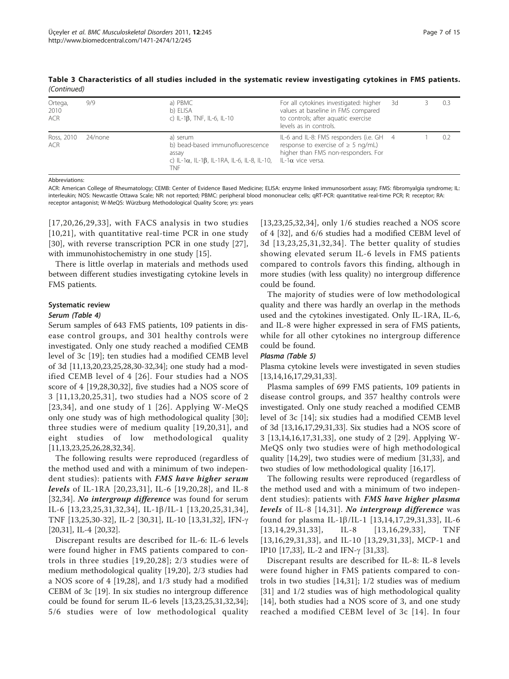| Ortega,<br>2010<br><b>ACR</b> | 9/9     | a) PBMC<br>b) ELISA<br>c) IL-1 $\beta$ , TNF, IL-6, IL-10                                                                    | For all cytokines investigated: higher<br>values at baseline in FMS compared<br>to controls; after aquatic exercise<br>levels as in controls.   | -3d | 0.3 |
|-------------------------------|---------|------------------------------------------------------------------------------------------------------------------------------|-------------------------------------------------------------------------------------------------------------------------------------------------|-----|-----|
| Ross, 2010<br><b>ACR</b>      | 24/none | a) serum<br>b) bead-based immunofluorescence<br>assay<br>c) IL-1 $\alpha$ , IL-1 $\beta$ , IL-1RA, IL-6, IL-8, IL-10,<br>tnf | IL-6 and IL-8: FMS responders (i.e. GH 4<br>response to exercise of $\geq$ 5 ng/mL)<br>higher than FMS non-responders. For<br>IL-1α vice versa. |     | 0.2 |

Table 3 Characteristics of all studies included in the systematic review investigating cytokines in FMS patients. (Continued)

#### **Abbreviations:**

ACR: American College of Rheumatology; CEMB: Center of Evidence Based Medicine; ELISA: enzyme linked immunosorbent assay; FMS: fibromyalgia syndrome; IL: interleukin; NOS: Newcastle Ottawa Scale; NR: not reported; PBMC: peripheral blood mononuclear cells; qRT-PCR: quantitative real-time PCR; R: receptor; RA: receptor antagonist; W-MeQS: Würzburg Methodological Quality Score; yrs: years

[[17](#page-14-0),[20](#page-14-0),[26,29](#page-14-0),[33](#page-14-0)], with FACS analysis in two studies [[10,21](#page-14-0)], with quantitative real-time PCR in one study [[30](#page-14-0)], with reverse transcription PCR in one study [[27](#page-14-0)], with immunohistochemistry in one study [\[15](#page-14-0)].

There is little overlap in materials and methods used between different studies investigating cytokine levels in FMS patients.

#### Systematic review

#### Serum (Table [4](#page-7-0))

Serum samples of 643 FMS patients, 109 patients in disease control groups, and 301 healthy controls were investigated. Only one study reached a modified CEMB level of 3c [[19\]](#page-14-0); ten studies had a modified CEMB level of 3d [\[11,13,20,23,25,28,30-32,34\]](#page-14-0); one study had a modified CEMB level of 4 [[26](#page-14-0)]. Four studies had a NOS score of 4 [\[19,28,30,32](#page-14-0)], five studies had a NOS score of 3 [[11](#page-14-0),[13](#page-14-0),[20](#page-14-0),[25](#page-14-0),[31](#page-14-0)], two studies had a NOS score of 2 [[23,34\]](#page-14-0), and one study of 1 [[26\]](#page-14-0). Applying W-MeQS only one study was of high methodological quality [\[30](#page-14-0)]; three studies were of medium quality [[19,20,31](#page-14-0)], and eight studies of low methodological quality [[11,13,23](#page-14-0),[25,26,28,32,34\]](#page-14-0).

The following results were reproduced (regardless of the method used and with a minimum of two independent studies): patients with FMS have higher serum levels of IL-1RA [\[20,23,31](#page-14-0)], IL-6 [\[19,20,28](#page-14-0)], and IL-8 [[32,34](#page-14-0)]. No *intergroup difference* was found for serum IL-6 [[13](#page-14-0),[23](#page-14-0),[25](#page-14-0),[31](#page-14-0),[32](#page-14-0),[34](#page-14-0)], IL-1b/IL-1 [[13,20,25,31,34\]](#page-14-0), TNF [[13,25,30-32\]](#page-14-0), IL-2 [[30,31\]](#page-14-0), IL-10 [[13,31,32\]](#page-14-0), IFN-g [[20,31\]](#page-14-0), IL-4 [[20](#page-14-0),[32](#page-14-0)].

Discrepant results are described for IL-6: IL-6 levels were found higher in FMS patients compared to controls in three studies [[19,20,28\]](#page-14-0); 2/3 studies were of medium methodological quality [[19,20\]](#page-14-0), 2/3 studies had a NOS score of 4 [\[19,28](#page-14-0)], and 1/3 study had a modified CEBM of 3c [[19\]](#page-14-0). In six studies no intergroup difference could be found for serum IL-6 levels [[13](#page-14-0),[23](#page-14-0),[25,31,32,34](#page-14-0)]; 5/6 studies were of low methodological quality

[[13,23,25,32](#page-14-0),[34\]](#page-14-0), only 1/6 studies reached a NOS score of 4 [[32](#page-14-0)], and 6/6 studies had a modified CEBM level of 3d [[13,23,25](#page-14-0),[31](#page-14-0),[32,34\]](#page-14-0). The better quality of studies showing elevated serum IL-6 levels in FMS patients compared to controls favors this finding, although in more studies (with less quality) no intergroup difference could be found.

The majority of studies were of low methodological quality and there was hardly an overlap in the methods used and the cytokines investigated. Only IL-1RA, IL-6, and IL-8 were higher expressed in sera of FMS patients, while for all other cytokines no intergroup difference could be found.

# Plasma (Table [5\)](#page-9-0)

Plasma cytokine levels were investigated in seven studies [[13,14,16](#page-14-0),[17,29,31,33](#page-14-0)].

Plasma samples of 699 FMS patients, 109 patients in disease control groups, and 357 healthy controls were investigated. Only one study reached a modified CEMB level of 3c [[14](#page-14-0)]; six studies had a modified CEMB level of 3d [\[13,16,17,29,31,33\]](#page-14-0). Six studies had a NOS score of 3 [\[13](#page-14-0),[14,16,17](#page-14-0),[31,33\]](#page-14-0), one study of 2 [[29\]](#page-14-0). Applying W-MeQS only two studies were of high methodological quality [[14,29\]](#page-14-0), two studies were of medium [\[31,33\]](#page-14-0), and two studies of low methodological quality [[16,17](#page-14-0)].

The following results were reproduced (regardless of the method used and with a minimum of two independent studies): patients with FMS have higher plasma levels of IL-8 [[14](#page-14-0),[31](#page-14-0)]. No intergroup difference was found for plasma IL-1β/IL-1 [[13,14,17,29](#page-14-0),[31](#page-14-0),[33](#page-14-0)], IL-6<br>[13,14,29,31,33], IL-8 [13,16,29,33], TNF  $[13, 14, 29, 31, 33]$  $[13, 14, 29, 31, 33]$  $[13, 14, 29, 31, 33]$  $[13, 14, 29, 31, 33]$  $[13, 14, 29, 31, 33]$  $[13, 14, 29, 31, 33]$ , [[13,16](#page-14-0),[29](#page-14-0),[31](#page-14-0),[33](#page-14-0)], and IL-10 [[13](#page-14-0),[29,31,33\]](#page-14-0), MCP-1 and IP10 [[17](#page-14-0),[33](#page-14-0)], IL-2 and IFN- $\gamma$  [\[31,33\]](#page-14-0).

Discrepant results are described for IL-8: IL-8 levels were found higher in FMS patients compared to controls in two studies [[14,31](#page-14-0)]; 1/2 studies was of medium [[31\]](#page-14-0) and 1/2 studies was of high methodological quality [[14\]](#page-14-0), both studies had a NOS score of 3, and one study reached a modified CEBM level of 3c [[14](#page-14-0)]. In four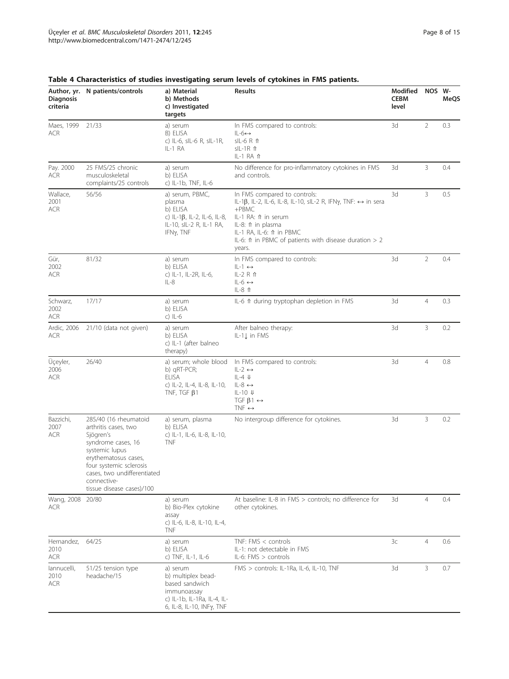| <b>Diagnosis</b><br>criteria     | Author, yr. N patients/controls                                                                                                                                                                                                  | a) Material<br>b) Methods<br>c) Investigated<br>targets                                                                     | <b>Results</b>                                                                                                                                                                                                                                                                                | Modified<br><b>CEBM</b><br>level | NOS W-         | <b>MeOS</b> |
|----------------------------------|----------------------------------------------------------------------------------------------------------------------------------------------------------------------------------------------------------------------------------|-----------------------------------------------------------------------------------------------------------------------------|-----------------------------------------------------------------------------------------------------------------------------------------------------------------------------------------------------------------------------------------------------------------------------------------------|----------------------------------|----------------|-------------|
| Maes, 1999<br><b>ACR</b>         | 21/33                                                                                                                                                                                                                            | a) serum<br>B) ELISA<br>c) IL-6, sIL-6 R, sIL-1R,<br>$IL-1RA$                                                               | In FMS compared to controls:<br>$IL-6 \leftrightarrow$<br>$sIL-6R$ $\hat{n}$<br>$sL-1R$ $\hat{n}$<br>IL-1 RA n                                                                                                                                                                                | 3d                               | $\overline{2}$ | 0.3         |
| Pay. 2000<br><b>ACR</b>          | 25 FMS/25 chronic<br>musculoskeletal<br>complaints/25 controls                                                                                                                                                                   | a) serum<br>b) ELISA<br>c) IL-1b, TNF, IL-6                                                                                 | No difference for pro-inflammatory cytokines in FMS<br>and controls.                                                                                                                                                                                                                          | 3d                               | 3              | 0.4         |
| Wallace,<br>2001<br><b>ACR</b>   | 56/56                                                                                                                                                                                                                            | a) serum, PBMC,<br>plasma<br>b) ELISA<br>c) IL-1 $\beta$ , IL-2, IL-6, IL-8,<br>IL-10, sIL-2 R, IL-1 RA,<br>IFNγ, TNF       | In FMS compared to controls:<br>IL-1 $\beta$ , IL-2, IL-6, IL-8, IL-10, sIL-2 R, IFN $\gamma$ , TNF: $\leftrightarrow$ in sera<br>+PBMC<br>IL-1 RA: 1 in serum<br>IL-8: ft in plasma<br>IL-1 RA, IL-6: 1 in PBMC<br>IL-6: $\hat{n}$ in PBMC of patients with disease duration $> 2$<br>years. | 3d                               | 3              | 0.5         |
| Gür,<br>2002<br>ACR              | 81/32                                                                                                                                                                                                                            | a) serum<br>b) ELISA<br>c) IL-1, IL-2R, IL-6,<br>$IL-8$                                                                     | In FMS compared to controls:<br>$ L-1 \leftrightarrow$<br>$IL-2 Rn$<br>$IL-6 \leftrightarrow$<br>IL-8 ft                                                                                                                                                                                      | 3d                               | $\overline{2}$ | 0.4         |
| Schwarz,<br>2002<br>ACR          | 17/17                                                                                                                                                                                                                            | a) serum<br>b) ELISA<br>c) $IL-6$                                                                                           | IL-6 ft during tryptophan depletion in FMS                                                                                                                                                                                                                                                    | 3d                               | $\overline{4}$ | 0.3         |
| Ardic, 2006<br><b>ACR</b>        | 21/10 (data not given)                                                                                                                                                                                                           | a) serum<br>b) ELISA<br>c) IL-1 (after balneo<br>therapy)                                                                   | After balneo therapy:<br>IL-1↓ in FMS                                                                                                                                                                                                                                                         | 3d                               | 3              | 0.2         |
| Üçeyler,<br>2006<br><b>ACR</b>   | 26/40                                                                                                                                                                                                                            | a) serum; whole blood<br>b) qRT-PCR;<br><b>ELISA</b><br>c) IL-2, IL-4, IL-8, IL-10,<br>TNF, TGF $\beta$ 1                   | In FMS compared to controls:<br>$IL-2 \leftrightarrow$<br>$IL-4$ $U$<br>$IL-8 \leftrightarrow$<br>$IL-10$ $U$<br>TGF $\beta$ 1 $\leftrightarrow$<br>TNF $\leftrightarrow$                                                                                                                     | 3d                               | $\overline{4}$ | 0.8         |
| Bazzichi,<br>2007<br><b>ACR</b>  | 285/40 (16 rheumatoid<br>arthritis cases, two<br>Sjögren's<br>syndrome cases, 16<br>systemic lupus<br>erythematosus cases,<br>four systemic sclerosis<br>cases, two undifferentiated<br>connective-<br>tissue disease cases)/100 | a) serum, plasma<br>b) ELISA<br>c) IL-1, IL-6, IL-8, IL-10,<br><b>TNF</b>                                                   | No intergroup difference for cytokines.                                                                                                                                                                                                                                                       | 3d                               | 3              | 0.2         |
| Wang, 2008<br><b>ACR</b>         | 20/80                                                                                                                                                                                                                            | a) serum<br>b) Bio-Plex cytokine<br>assay<br>c) IL-6, IL-8, IL-10, IL-4,<br><b>TNF</b>                                      | At baseline: IL-8 in FMS > controls; no difference for<br>other cytokines.                                                                                                                                                                                                                    | 3d                               | $\overline{4}$ | 0.4         |
| Hernandez,<br>2010<br><b>ACR</b> | 64/25                                                                                                                                                                                                                            | a) serum<br>b) ELISA<br>c) TNF, IL-1, IL-6                                                                                  | TNF: $FMS <$ controls<br>IL-1: not detectable in FMS<br>$IL-6$ : FMS $>$ controls                                                                                                                                                                                                             | 3c                               | $\overline{4}$ | 0.6         |
| lannucelli,<br>2010<br>ACR       | 51/25 tension type<br>headache/15                                                                                                                                                                                                | a) serum<br>b) multiplex bead-<br>based sandwich<br>immunoassay<br>c) IL-1b, IL-1Ra, IL-4, IL-<br>6, IL-8, IL-10, INFy, TNF | $FMS >$ controls: IL-1Ra, IL-6, IL-10, TNF                                                                                                                                                                                                                                                    | 3d                               | $\mathbf{3}$   | 0.7         |

# <span id="page-7-0"></span>Table 4 Characteristics of studies investigating serum levels of cytokines in FMS patients.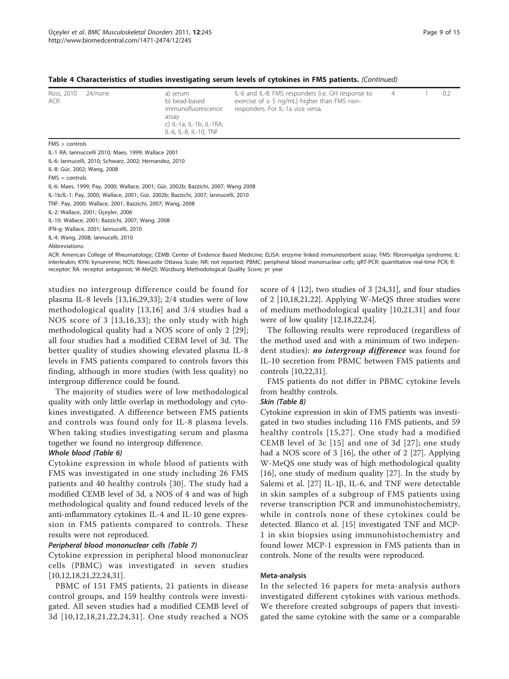| Ross, 2010<br><b>ACR</b> | 24/none | a) serum<br>b) bead-based<br>immunofluorescence<br>assay<br>c) IL-1a, IL-1b, IL-1RA,<br>IL-6, IL-8, IL-10, TNF | IL-6 and IL-8: FMS responders (i.e. GH response to<br>exercise of $\geq$ 5 ng/mL) higher than FMS non-<br>responders. For IL-1a vice versa. |  | 0.2 |
|--------------------------|---------|----------------------------------------------------------------------------------------------------------------|---------------------------------------------------------------------------------------------------------------------------------------------|--|-----|
| $FMS >$ controls         |         |                                                                                                                |                                                                                                                                             |  |     |

### Table 4 Characteristics of studies investigating serum levels of cytokines in FMS patients. (Continued)

FMS > controls

IL-1 RA: Iannuccelli 2010; Maes, 1999; Wallace 2001

IL-6: Iannucelli, 2010; Schwarz, 2002; Hernandez, 2010

IL-8: Gür, 2002; Wang, 2008

FMS = controls

IL-6: Maes, 1999; Pay, 2000; Wallace, 2001; Gür, 2002b; Bazzichi, 2007; Wang 2008

IL-1b/IL-1: Pay, 2000; Wallace, 2001; Gür, 2002b; Bazzichi, 2007; Iannucelli, 2010

TNF: Pay, 2000; Wallace, 2001; Bazzichi, 2007; Wang, 2008

IL-2: Wallace, 2001; Üçeyler, 2006

IL-10: Wallace, 2001; Bazzichi, 2007; Wang, 2008

IFN-g: Wallace, 2001; Iannucelli, 2010

IL-4: Wang, 2008; Iannucelli, 2010

Abbreviations:

ACR: American College of Rheumatology; CEMB: Center of Evidence Based Medicine; ELISA: enzyme linked immunosorbent assay; FMS: fibromyalgia syndrome; IL: interleukin; KYN: kynurenine; NOS: Newcastle Ottawa Scale; NR: not reported; PBMC: peripheral blood mononuclear cells; qRT-PCR: quantitative real-time PCR; R: receptor; RA: receptor antagonist; W-MeQS: Würzburg Methodological Quality Score; yr: year

studies no intergroup difference could be found for plasma IL-8 levels [\[13,16](#page-14-0),[29](#page-14-0),[33](#page-14-0)]; 2/4 studies were of low methodological quality [[13,16\]](#page-14-0) and 3/4 studies had a NOS score of 3 [[13](#page-14-0),[16](#page-14-0),[33\]](#page-14-0); the only study with high methodological quality had a NOS score of only 2 [\[29](#page-14-0)]; all four studies had a modified CEBM level of 3d. The better quality of studies showing elevated plasma IL-8 levels in FMS patients compared to controls favors this finding, although in more studies (with less quality) no intergroup difference could be found.

The majority of studies were of low methodological quality with only little overlap in methodology and cytokines investigated. A difference between FMS patients and controls was found only for IL-8 plasma levels. When taking studies investigating serum and plasma together we found no intergroup difference.

### Whole blood (Table [6](#page-10-0))

Cytokine expression in whole blood of patients with FMS was investigated in one study including 26 FMS patients and 40 healthy controls [[30\]](#page-14-0). The study had a modified CEMB level of 3d, a NOS of 4 and was of high methodological quality and found reduced levels of the anti-inflammatory cytokines IL-4 and IL-10 gene expression in FMS patients compared to controls. These results were not reproduced.

### Peripheral blood mononuclear cells (Table [7](#page-10-0))

Cytokine expression in peripheral blood mononuclear cells (PBMC) was investigated in seven studies [[10,12,18](#page-14-0),[21,22,24,31](#page-14-0)].

PBMC of 151 FMS patients, 21 patients in disease control groups, and 159 healthy controls were investigated. All seven studies had a modified CEMB level of 3d [[10](#page-14-0),[12](#page-14-0),[18](#page-14-0),[21,22,24,31\]](#page-14-0). One study reached a NOS

score of 4 [[12](#page-14-0)], two studies of 3 [[24,31\]](#page-14-0), and four studies of 2 [\[10,18,21,22\]](#page-14-0). Applying W-MeQS three studies were of medium methodological quality [[10,21,31](#page-14-0)] and four were of low quality [[12,18,22](#page-14-0),[24](#page-14-0)].

The following results were reproduced (regardless of the method used and with a minimum of two independent studies): no intergroup difference was found for IL-10 secretion from PBMC between FMS patients and controls [\[10,22,31\]](#page-14-0).

FMS patients do not differ in PBMC cytokine levels from healthy controls.

### Skin (Table [8](#page-11-0))

Cytokine expression in skin of FMS patients was investigated in two studies including 116 FMS patients, and 59 healthy controls [[15](#page-14-0),[27\]](#page-14-0). One study had a modified CEMB level of 3c [\[15\]](#page-14-0) and one of 3d [[27](#page-14-0)]; one study had a NOS score of 3 [\[16\]](#page-14-0), the other of 2 [\[27](#page-14-0)]. Applying W-MeQS one study was of high methodological quality [[16\]](#page-14-0), one study of medium quality [[27\]](#page-14-0). In the study by Salemi et al.  $[27]$  $[27]$  $[27]$  IL-1 $\beta$ , IL-6, and TNF were detectable in skin samples of a subgroup of FMS patients using reverse transcription PCR and immunohistochemistry, while in controls none of these cytokines could be detected. Blanco et al. [[15](#page-14-0)] investigated TNF and MCP-1 in skin biopsies using immunohistochemistry and found lower MCP-1 expression in FMS patients than in controls. None of the results were reproduced.

### Meta-analysis

In the selected 16 papers for meta-analysis authors investigated different cytokines with various methods. We therefore created subgroups of papers that investigated the same cytokine with the same or a comparable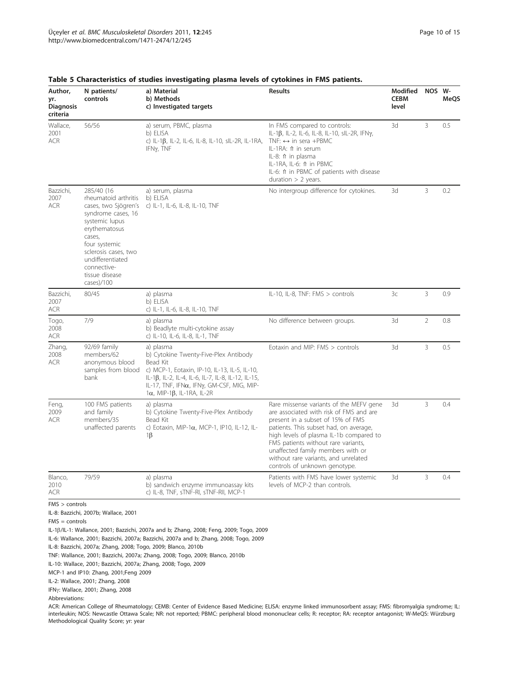| Author,<br>yr.<br><b>Diagnosis</b><br>criteria         | N patients/<br>controls                                                                                                                                                                                                                                                                                                                                       | a) Material<br>b) Methods<br>c) Investigated targets                                                                                                                                                                                                                                                                              | Results                                                                                                                                                                                                                                                                                                                                                           | Modified<br><b>CEBM</b><br>level | NOS W-         | MeQS |
|--------------------------------------------------------|---------------------------------------------------------------------------------------------------------------------------------------------------------------------------------------------------------------------------------------------------------------------------------------------------------------------------------------------------------------|-----------------------------------------------------------------------------------------------------------------------------------------------------------------------------------------------------------------------------------------------------------------------------------------------------------------------------------|-------------------------------------------------------------------------------------------------------------------------------------------------------------------------------------------------------------------------------------------------------------------------------------------------------------------------------------------------------------------|----------------------------------|----------------|------|
| Wallace,<br>2001<br>ACR                                | 56/56<br>a) serum, PBMC, plasma<br>In FMS compared to controls:<br>b) ELISA<br>IL-1B, IL-2, IL-6, IL-8, IL-10, sIL-2R, IFNy,<br>TNF: $\leftrightarrow$ in sera +PBMC<br>c) IL-1 $\beta$ , IL-2, IL-6, IL-8, IL-10, sIL-2R, IL-1RA,<br>IFN <sub>y</sub> , TNF<br>IL-1RA: ft in serum<br>IL-8: ft in plasma<br>IL-1RA, IL-6: î in PBMC<br>duration $> 2$ years. |                                                                                                                                                                                                                                                                                                                                   | IL-6: ft in PBMC of patients with disease                                                                                                                                                                                                                                                                                                                         | 3d                               | 3              | 0.5  |
| Bazzichi,<br>2007<br><b>ACR</b>                        | 285/40 (16<br>rheumatoid arthritis<br>cases, two Sjögren's<br>syndrome cases, 16<br>systemic lupus<br>erythematosus<br>cases,<br>four systemic<br>sclerosis cases, two<br>undifferentiated<br>connective-<br>tissue disease<br>cases)/100                                                                                                                     | a) serum, plasma<br>b) ELISA<br>c) IL-1, IL-6, IL-8, IL-10, TNF                                                                                                                                                                                                                                                                   | No intergroup difference for cytokines.                                                                                                                                                                                                                                                                                                                           | 3d                               | 3              | 0.2  |
| Bazzichi,<br>2007<br>ACR                               | 80/45                                                                                                                                                                                                                                                                                                                                                         | a) plasma<br>IL-10, IL-8, TNF: FMS > controls<br>b) ELISA<br>c) IL-1, IL-6, IL-8, IL-10, TNF                                                                                                                                                                                                                                      |                                                                                                                                                                                                                                                                                                                                                                   | 3c                               | 3              | 0.9  |
| Togo,<br>2008<br><b>ACR</b>                            | 7/9                                                                                                                                                                                                                                                                                                                                                           | a) plasma<br>No difference between groups.<br>b) Beadlyte multi-cytokine assay<br>c) IL-10, IL-6, IL-8, IL-1, TNF                                                                                                                                                                                                                 |                                                                                                                                                                                                                                                                                                                                                                   | 3d                               | $\overline{2}$ | 0.8  |
| Zhang,<br>2008<br><b>ACR</b>                           | 92/69 family<br>members/62<br>anonymous blood<br>samples from blood<br>bank                                                                                                                                                                                                                                                                                   | a) plasma<br>b) Cytokine Twenty-Five-Plex Antibody<br>Bead Kit<br>c) MCP-1, Eotaxin, IP-10, IL-13, IL-5, IL-10,<br>IL-1β, IL-2, IL-4, IL-6, IL-7, IL-8, IL-12, IL-15,<br>IL-17, TNF, IFN $\alpha$ , IFN $\gamma$ , GM-CSF, MIG, MIP-<br>$1\alpha$ , MIP-1 $\beta$ , IL-1RA, IL-2R                                                 | Eotaxin and MIP: FMS > controls                                                                                                                                                                                                                                                                                                                                   | 3d                               | 3              | 0.5  |
| Feng,<br>2009<br><b>ACR</b>                            | 100 FMS patients<br>a) plasma<br>b) Cytokine Twenty-Five-Plex Antibody<br>and family<br>members/35<br>Bead Kit<br>unaffected parents<br>c) Eotaxin, MIP-1 $\alpha$ , MCP-1, IP10, IL-12, IL-<br>1β                                                                                                                                                            |                                                                                                                                                                                                                                                                                                                                   | Rare missense variants of the MEFV gene<br>are associated with risk of FMS and are<br>present in a subset of 15% of FMS<br>patients. This subset had, on average,<br>high levels of plasma IL-1b compared to<br>FMS patients without rare variants,<br>unaffected family members with or<br>without rare variants, and unrelated<br>controls of unknown genotype. | 3d                               | 3              | 0.4  |
| Blanco,<br>2010<br>ACR                                 | 79/59                                                                                                                                                                                                                                                                                                                                                         | a) plasma<br>b) sandwich enzyme immunoassay kits<br>c) IL-8, TNF, sTNF-RI, sTNF-RII, MCP-1                                                                                                                                                                                                                                        | Patients with FMS have lower systemic<br>levels of MCP-2 than controls.                                                                                                                                                                                                                                                                                           | 3d                               | 3              | 0.4  |
| $FMS >$ controls<br>$FMS = controls$<br>Abbreviations: | IL-8: Bazzichi, 2007b; Wallace, 2001<br>IL-8: Bazzichi, 2007a; Zhang, 2008; Togo, 2009; Blanco, 2010b<br>MCP-1 and IP10: Zhang, 2001;Feng 2009<br>IL-2: Wallace, 2001; Zhang, 2008<br>IFNy: Wallace, 2001; Zhang, 2008                                                                                                                                        | IL-1β/IL-1: Wallance, 2001; Bazzichi, 2007a and b; Zhang, 2008; Feng, 2009; Togo, 2009<br>IL-6: Wallance, 2001; Bazzichi, 2007a; Bazzichi, 2007a and b; Zhang, 2008; Togo, 2009<br>TNF: Wallance, 2001; Bazzichi, 2007a; Zhang, 2008; Togo, 2009; Blanco, 2010b<br>IL-10: Wallace, 2001; Bazzichi, 2007a; Zhang, 2008; Togo, 2009 |                                                                                                                                                                                                                                                                                                                                                                   |                                  |                |      |

# <span id="page-9-0"></span>Table 5 Characteristics of studies investigating plasma levels of cytokines in FMS patients.

ACR: American College of Rheumatology; CEMB: Center of Evidence Based Medicine; ELISA: enzyme linked immunosorbent assay; FMS: fibromyalgia syndrome; IL: interleukin; NOS: Newcastle Ottawa Scale; NR: not reported; PBMC: peripheral blood mononuclear cells; R: receptor; RA: receptor antagonist; W-MeQS: Würzburg Methodological Quality Score; yr: year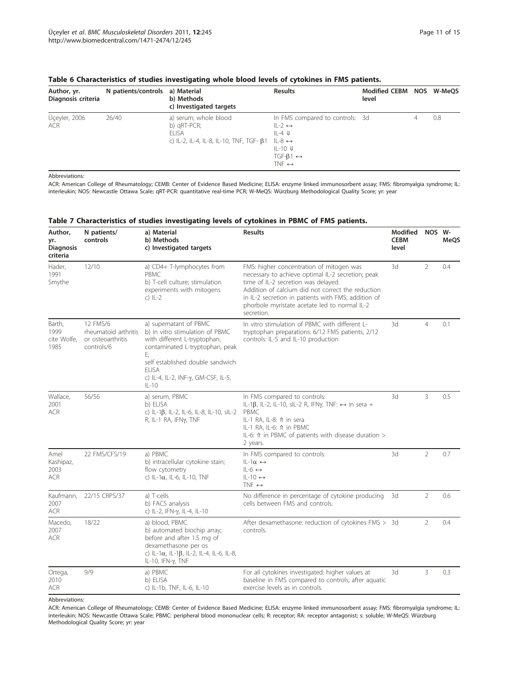| Author, yr.<br>Diagnosis criteria | N patients/controls a) Material | b) Methods<br>c) Investigated targets                                                             | <b>Results</b>                                                                                                                                                                       | Modified CEBM NOS W-MeQS<br>level |   |     |
|-----------------------------------|---------------------------------|---------------------------------------------------------------------------------------------------|--------------------------------------------------------------------------------------------------------------------------------------------------------------------------------------|-----------------------------------|---|-----|
| Üçeyler, 2006<br><b>ACR</b>       | 26/40                           | a) serum; whole blood<br>b) qRT-PCR;<br>FI ISA<br>c) IL-2, IL-4, IL-8, IL-10, TNF, TGF- $\beta$ 1 | In FMS compared to controls: 3d<br>$L-2 \leftrightarrow$<br>$   -4 \Downarrow$<br>$L-8 \leftrightarrow$<br>$II - 10 \Downarrow$<br>$TGF-B1 \leftrightarrow$<br>TNF $\leftrightarrow$ |                                   | 4 | 0.8 |

### <span id="page-10-0"></span>Table 6 Characteristics of studies investigating whole blood levels of cytokines in FMS patients.

Abbreviations:

ACR: American College of Rheumatology; CEMB: Center of Evidence Based Medicine; ELISA: enzyme linked immunosorbent assay; FMS: fibromyalgia syndrome; IL: interleukin; NOS: Newcastle Ottawa Scale; qRT-PCR: quantitative real-time PCR; W-MeQS: Würzburg Methodological Quality Score; yr: year

| Author,<br>yr.<br><b>Diagnosis</b><br>criteria                                                                                                                    | a) Material<br><b>Results</b><br>N patients/<br>b) Methods<br>controls<br>c) Investigated targets |                                                                                                                                                                                                                                                                                                   | <b>Modified</b><br><b>CEBM</b><br>level                                                                                                                                                                                  | NOS W-         | <b>MeOS</b>    |     |
|-------------------------------------------------------------------------------------------------------------------------------------------------------------------|---------------------------------------------------------------------------------------------------|---------------------------------------------------------------------------------------------------------------------------------------------------------------------------------------------------------------------------------------------------------------------------------------------------|--------------------------------------------------------------------------------------------------------------------------------------------------------------------------------------------------------------------------|----------------|----------------|-----|
| Hader.<br>12/10<br>a) CD4+ T-lymphocytes from<br>1991<br>PBMC<br>Smythe<br>b) T-cell culture; stimulation<br>experiments with mitogens<br>c) $IL-2$<br>secretion. |                                                                                                   | FMS: higher concentration of mitogen was<br>necessary to achieve optimal IL-2 secretion; peak<br>time of IL-2 secretion was delayed.<br>Addition of calcium did not correct the reduction<br>in IL-2 secretion in patients with FMS; addition of<br>phorbole myristate acetate led to normal IL-2 | 3d                                                                                                                                                                                                                       | $\overline{2}$ | 0.4            |     |
| Barth,<br>1999<br>cite Wolfe,<br>1985                                                                                                                             | 12 FMS/6<br>rheumatoid arthritis<br>or osteoarthritis<br>controls/6                               | a) supernatant of PBMC<br>b) in vitro stimulation of PBMC<br>with different L-tryptophan,<br>contaminated L-tryptophan, peak<br>E;<br>self established double sandwich<br><b>ELISA</b><br>c) IL-4, IL-2, INF-γ, GM-CSF, IL-5,<br>$IL-10$                                                          | In vitro stimulation of PBMC with different L-<br>3d<br>tryptophan preparations: 6/12 FMS patients, 2/12<br>controls: IL-5 and IL-10 production<br>In FMS compared to controls:                                          |                | $\overline{4}$ | 0.1 |
| Wallace,<br>2001<br><b>ACR</b>                                                                                                                                    | 56/56                                                                                             | a) serum, PBMC<br>b) ELISA<br>c) IL-1 $\beta$ , IL-2, IL-6, IL-8, IL-10, sIL-2<br>R, IL-1 RA, IFNy, TNF                                                                                                                                                                                           | IL-1 $\beta$ , IL-2, IL-10, sIL-2 R, IFN $\gamma$ , TNF: $\leftrightarrow$ in sera +<br>PBMC<br>IL-1 RA, IL-8: 1 in sera<br>IL-1 RA, IL-6: 1 in PBMC<br>IL-6: ft in PBMC of patients with disease duration ><br>2 years. | 3d             | 3              | 0.5 |
| Amel<br>Kashipaz,<br>2003<br><b>ACR</b>                                                                                                                           | 22 FMS/CFS/19                                                                                     | a) PBMC<br>b) intracellular cytokine stain;<br>flow cytometry<br>c) IL-1 $\alpha$ , IL-6, IL-10, TNF                                                                                                                                                                                              | In FMS compared to controls:<br>$ L-1\alpha \leftrightarrow$<br>$IL-6 \leftrightarrow$<br>$IL-10 \leftrightarrow$<br>TNF $\leftrightarrow$                                                                               | 3d             | $\overline{2}$ | 0.7 |
| Kaufmann,<br>2007<br>ACR                                                                                                                                          | 22/15 CRPS/37                                                                                     | a) T-cells<br>b) FACS analysis<br>c) IL-2, IFN-y, IL-4, IL-10                                                                                                                                                                                                                                     | No difference in percentage of cytokine producing<br>cells between FMS and controls.                                                                                                                                     | -3d            | $\overline{2}$ | 0.6 |
| Macedo,<br>2007<br>ACR                                                                                                                                            | 18/22                                                                                             | a) blood, PBMC<br>b) automated biochip array;<br>before and after 1.5 mg of<br>dexamethasone per os<br>c) IL-1 $\alpha$ , IL-1 $\beta$ , IL-2, IL-4, IL-6, IL-8,<br>IL-10, IFN-γ, TNF                                                                                                             | After dexamethasone: reduction of cytokines FMS > 3d<br>controls.                                                                                                                                                        |                | $\overline{2}$ | 0.4 |
| Ortega,<br>2010<br>ACR                                                                                                                                            | 9/9                                                                                               | a) PBMC<br>b) ELISA<br>c) IL-1b, TNF, IL-6, IL-10                                                                                                                                                                                                                                                 | For all cytokines investigated: higher values at<br>baseline in FMS compared to controls; after aquatic<br>exercise levels as in controls.                                                                               | 3d             | 3              | 0.3 |

### Table 7 Characteristics of studies investigating levels of cytokines in PBMC of FMS patients.

Abbreviations:

ACR: American College of Rheumatology; CEMB: Center of Evidence Based Medicine; ELISA: enzyme linked immunosorbent assay; FMS: fibromyalgia syndrome; IL: interleukin; NOS: Newcastle Ottawa Scale; PBMC: peripheral blood mononuclear cells; R: receptor; RA: receptor antagonist; s: soluble; W-MeQS: Würzburg Methodological Quality Score; yr: year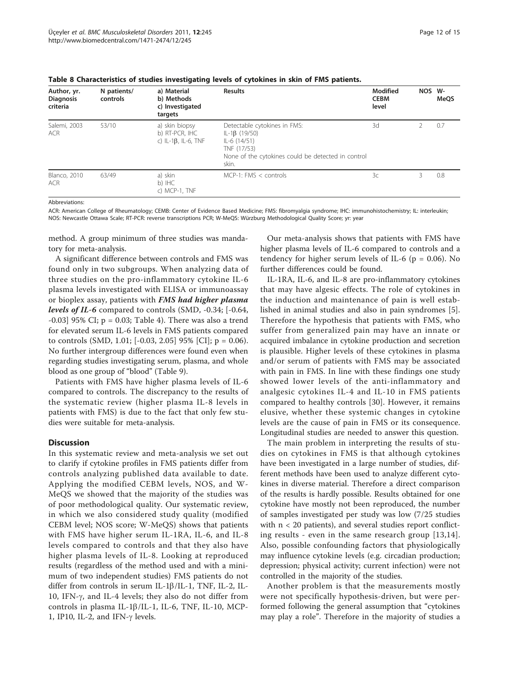| Author, yr.<br><b>Diagnosis</b><br>criteria | N patients/<br>controls | a) Material<br>b) Methods<br>c) Investigated<br>targets         | <b>Results</b>                                                                                                                                     | <b>Modified</b><br><b>CEBM</b><br>level | NOS W- | <b>MeOS</b> |
|---------------------------------------------|-------------------------|-----------------------------------------------------------------|----------------------------------------------------------------------------------------------------------------------------------------------------|-----------------------------------------|--------|-------------|
| Salemi, 2003<br><b>ACR</b>                  | 53/10                   | a) skin biopsy<br>b) RT-PCR, IHC<br>c) IL-1 $\beta$ , IL-6, TNF | Detectable cytokines in FMS:<br>$IL-1\beta$ (19/50)<br>$IL-6(14/51)$<br>TNF (17/53)<br>None of the cytokines could be detected in control<br>skin. | 3d                                      |        | 0.7         |
| <b>Blanco, 2010</b><br><b>ACR</b>           | 63/49                   | a) skin<br>$b)$ IHC<br>c) MCP-1, TNF                            | $MCP-1$ : FMS $\lt$ controls                                                                                                                       | 3c                                      | 3      | 0.8         |

<span id="page-11-0"></span>Table 8 Characteristics of studies investigating levels of cytokines in skin of FMS patients.

Abbreviations:

ACR: American College of Rheumatology; CEMB: Center of Evidence Based Medicine; FMS: fibromyalgia syndrome; IHC: immunohistochemistry; IL: interleukin; NOS: Newcastle Ottawa Scale; RT-PCR: reverse transcriptions PCR; W-MeQS: Würzburg Methodological Quality Score; yr: year

method. A group minimum of three studies was mandatory for meta-analysis.

A significant difference between controls and FMS was found only in two subgroups. When analyzing data of three studies on the pro-inflammatory cytokine IL-6 plasma levels investigated with ELISA or immunoassay or bioplex assay, patients with FMS had higher plasma levels of IL-6 compared to controls (SMD, -0.34; [-0.64,  $-0.03$ ] 95% CI;  $p = 0.03$ ; Table [4](#page-7-0)). There was also a trend for elevated serum IL-6 levels in FMS patients compared to controls (SMD, 1.01; [-0.03, 2.05] 95% [CI]; p = 0.06). No further intergroup differences were found even when regarding studies investigating serum, plasma, and whole blood as one group of "blood" (Table [9\)](#page-12-0).

Patients with FMS have higher plasma levels of IL-6 compared to controls. The discrepancy to the results of the systematic review (higher plasma IL-8 levels in patients with FMS) is due to the fact that only few studies were suitable for meta-analysis.

### **Discussion**

In this systematic review and meta-analysis we set out to clarify if cytokine profiles in FMS patients differ from controls analyzing published data available to date. Applying the modified CEBM levels, NOS, and W-MeQS we showed that the majority of the studies was of poor methodological quality. Our systematic review, in which we also considered study quality (modified CEBM level; NOS score; W-MeQS) shows that patients with FMS have higher serum IL-1RA, IL-6, and IL-8 levels compared to controls and that they also have higher plasma levels of IL-8. Looking at reproduced results (regardless of the method used and with a minimum of two independent studies) FMS patients do not differ from controls in serum IL-1 $\beta$ /IL-1, TNF, IL-2, IL-10, IFN- $\gamma$ , and IL-4 levels; they also do not differ from controls in plasma IL-1 $\beta$ /IL-1, IL-6, TNF, IL-10, MCP-1, IP10, IL-2, and IFN- $\gamma$  levels.

Our meta-analysis shows that patients with FMS have higher plasma levels of IL-6 compared to controls and a tendency for higher serum levels of IL-6 ( $p = 0.06$ ). No further differences could be found.

IL-1RA, IL-6, and IL-8 are pro-inflammatory cytokines that may have algesic effects. The role of cytokines in the induction and maintenance of pain is well established in animal studies and also in pain syndromes [\[5](#page-14-0)]. Therefore the hypothesis that patients with FMS, who suffer from generalized pain may have an innate or acquired imbalance in cytokine production and secretion is plausible. Higher levels of these cytokines in plasma and/or serum of patients with FMS may be associated with pain in FMS. In line with these findings one study showed lower levels of the anti-inflammatory and analgesic cytokines IL-4 and IL-10 in FMS patients compared to healthy controls [[30\]](#page-14-0). However, it remains elusive, whether these systemic changes in cytokine levels are the cause of pain in FMS or its consequence. Longitudinal studies are needed to answer this question.

The main problem in interpreting the results of studies on cytokines in FMS is that although cytokines have been investigated in a large number of studies, different methods have been used to analyze different cytokines in diverse material. Therefore a direct comparison of the results is hardly possible. Results obtained for one cytokine have mostly not been reproduced, the number of samples investigated per study was low (7/25 studies with  $n < 20$  patients), and several studies report conflicting results - even in the same research group [[13](#page-14-0),[14](#page-14-0)]. Also, possible confounding factors that physiologically may influence cytokine levels (e.g. circadian production; depression; physical activity; current infection) were not controlled in the majority of the studies.

Another problem is that the measurements mostly were not specifically hypothesis-driven, but were performed following the general assumption that "cytokines may play a role". Therefore in the majority of studies a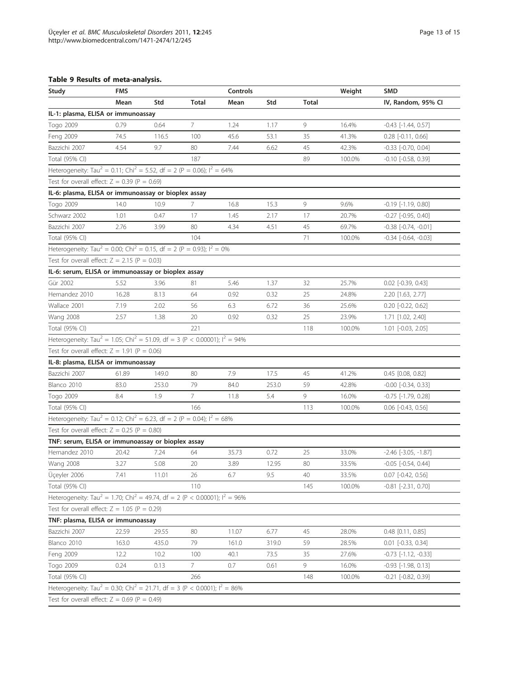# <span id="page-12-0"></span>Table 9 Results of meta-analysis.

| Std<br>Total<br>Mean<br>Std<br>Total<br>IV, Random, 95% CI<br>Mean<br>IL-1: plasma, ELISA or immunoassay<br>Togo 2009<br>7<br>9<br>0.79<br>0.64<br>1.24<br>1.17<br>16.4%<br>$-0.43$ [ $-1.44$ , $0.57$ ]<br>Feng 2009<br>74.5<br>45.6<br>41.3%<br>116.5<br>100<br>53.1<br>35<br>$0.28$ [-0.11, 0.66]<br>Bazzichi 2007<br>9.7<br>4.54<br>80<br>7.44<br>6.62<br>45<br>42.3%<br>$-0.33$ $[-0.70, 0.04]$<br>187<br>89<br>$-0.10$ $[-0.58, 0.39]$<br>100.0%<br>Heterogeneity: Tau <sup>2</sup> = 0.11; Chi <sup>2</sup> = 5.52, df = 2 (P = 0.06); l <sup>2</sup> = 64%<br>Test for overall effect: $Z = 0.39$ (P = 0.69)<br>IL-6: plasma, ELISA or immunoassay or bioplex assay<br>10.9<br>7<br>9<br>14.0<br>16.8<br>15.3<br>9.6%<br>$-0.19$ $[-1.19, 0.80]$<br>Schwarz 2002<br>1.01<br>0.47<br>17<br>1.45<br>2.17<br>17<br>20.7%<br>$-0.27$ $[-0.95, 0.40]$<br>Bazzichi 2007<br>2.76<br>4.34<br>45<br>69.7%<br>$-0.38$ $[-0.74, -0.01]$<br>3.99<br>80<br>4.51<br>Total (95% CI)<br>104<br>71<br>100.0%<br>$-0.34$ $[-0.64, -0.03]$<br>Heterogeneity: Tau <sup>2</sup> = 0.00; Chi <sup>2</sup> = 0.15, df = 2 (P = 0.93); $l^2$ = 0%<br>Test for overall effect: $Z = 2.15$ (P = 0.03)<br>IL-6: serum, ELISA or immunoassay or bioplex assay<br>Gür 2002<br>5.52<br>5.46<br>25.7%<br>3.96<br>81<br>1.37<br>32<br>$0.02$ [ $-0.39$ , $0.43$ ]<br>Hernandez 2010<br>16.28<br>8.13<br>64<br>0.92<br>0.32<br>25<br>24.8%<br>2.20 [1.63, 2.77]<br>Wallace 2001<br>7.19<br>2.02<br>6.3<br>6.72<br>36<br>25.6%<br>56<br>$0.20$ [-0.22, 0.62]<br>20<br>25<br>23.9%<br><b>Wang 2008</b><br>2.57<br>1.38<br>0.92<br>0.32<br>1.71 [1.02, 2.40]<br>Total (95% CI)<br>221<br>118<br>100.0%<br>1.01 [-0.03, 2.05]<br>Heterogeneity: Tau <sup>2</sup> = 1.05; Chi <sup>2</sup> = 51.09, df = 3 (P < 0.00001); l <sup>2</sup> = 94%<br>Test for overall effect: $Z = 1.91$ (P = 0.06)<br>IL-8: plasma, ELISA or immunoassay<br>7.9<br>Bazzichi 2007<br>61.89<br>149.0<br>80<br>17.5<br>45<br>41.2%<br>$0.45$ [0.08, 0.82]<br>Blanco 2010<br>83.0<br>253.0<br>79<br>84.0<br>253.0<br>59<br>42.8%<br>$-0.00$ $[-0.34, 0.33]$<br>Togo 2009<br>1.9<br>7<br>5.4<br>9<br>16.0%<br>$-0.75$ [ $-1.79$ , 0.28]<br>8.4<br>11.8<br>Total (95% CI)<br>166<br>113<br>100.0%<br>$0.06$ [-0.43, 0.56]<br>Heterogeneity: Tau <sup>2</sup> = 0.12; Chi <sup>2</sup> = 6.23, df = 2 (P = 0.04); l <sup>2</sup> = 68%<br>Test for overall effect: $Z = 0.25$ (P = 0.80)<br>TNF: serum, ELISA or immunoassay or bioplex assay<br>Hernandez 2010<br>35.73<br>0.72<br>20.42<br>7.24<br>64<br>25<br>33.0%<br>$-2.46$ [ $-3.05$ , $-1.87$ ]<br>3.27<br>5.08<br>20<br>3.89<br>12.95<br>80<br>33.5%<br>$-0.05$ $[-0.54, 0.44]$<br>9.5<br>40<br>33.5%<br>0.07 [-0.42, 0.56]<br>7.41<br>11.01<br>26<br>6.7<br>110<br>145<br>100.0%<br>$-0.81$ $[-2.31, 0.70]$<br>Heterogeneity: Tau <sup>2</sup> = 1.70; Chi <sup>2</sup> = 49.74, df = 2 (P < 0.00001); $I^2$ = 96%<br>Test for overall effect: $Z = 1.05$ (P = 0.29)<br>TNF: plasma, ELISA or immunoassay<br>Bazzichi 2007<br>22.59<br>29.55<br>11.07<br>45<br>$0.48$ [0.11, 0.85]<br>80<br>6.77<br>28.0%<br>Blanco 2010<br>59<br>$0.01$ [-0.33, 0.34]<br>163.0<br>435.0<br>79<br>161.0<br>319.0<br>28.5%<br>12.2<br>10.2<br>100<br>40.1<br>73.5<br>35<br>27.6%<br>$-0.73$ $[-1.12, -0.33]$<br>0.24<br>0.13<br>7<br>0.7<br>9<br>16.0%<br>$-0.93$ $[-1.98, 0.13]$<br>0.61<br>266<br>148<br>100.0%<br>$-0.21$ $[-0.82, 0.39]$<br>Heterogeneity: Tau <sup>2</sup> = 0.30; Chi <sup>2</sup> = 21.71, df = 3 (P < 0.0001); l <sup>2</sup> = 86%<br>Test for overall effect: $Z = 0.69$ (P = 0.49) | Study            | <b>FMS</b> |  | <b>Controls</b> |  | Weight | <b>SMD</b> |
|-------------------------------------------------------------------------------------------------------------------------------------------------------------------------------------------------------------------------------------------------------------------------------------------------------------------------------------------------------------------------------------------------------------------------------------------------------------------------------------------------------------------------------------------------------------------------------------------------------------------------------------------------------------------------------------------------------------------------------------------------------------------------------------------------------------------------------------------------------------------------------------------------------------------------------------------------------------------------------------------------------------------------------------------------------------------------------------------------------------------------------------------------------------------------------------------------------------------------------------------------------------------------------------------------------------------------------------------------------------------------------------------------------------------------------------------------------------------------------------------------------------------------------------------------------------------------------------------------------------------------------------------------------------------------------------------------------------------------------------------------------------------------------------------------------------------------------------------------------------------------------------------------------------------------------------------------------------------------------------------------------------------------------------------------------------------------------------------------------------------------------------------------------------------------------------------------------------------------------------------------------------------------------------------------------------------------------------------------------------------------------------------------------------------------------------------------------------------------------------------------------------------------------------------------------------------------------------------------------------------------------------------------------------------------------------------------------------------------------------------------------------------------------------------------------------------------------------------------------------------------------------------------------------------------------------------------------------------------------------------------------------------------------------------------------------------------------------------------------------------------------------------------------------------------------------------------------------------------------------------------------------------------------------------------------------------------------------------------------------------------------------------------------------------------------------------------------------------------------------------------------------------------------------------------------------------------------------------------|------------------|------------|--|-----------------|--|--------|------------|
|                                                                                                                                                                                                                                                                                                                                                                                                                                                                                                                                                                                                                                                                                                                                                                                                                                                                                                                                                                                                                                                                                                                                                                                                                                                                                                                                                                                                                                                                                                                                                                                                                                                                                                                                                                                                                                                                                                                                                                                                                                                                                                                                                                                                                                                                                                                                                                                                                                                                                                                                                                                                                                                                                                                                                                                                                                                                                                                                                                                                                                                                                                                                                                                                                                                                                                                                                                                                                                                                                                                                                                                                 |                  |            |  |                 |  |        |            |
|                                                                                                                                                                                                                                                                                                                                                                                                                                                                                                                                                                                                                                                                                                                                                                                                                                                                                                                                                                                                                                                                                                                                                                                                                                                                                                                                                                                                                                                                                                                                                                                                                                                                                                                                                                                                                                                                                                                                                                                                                                                                                                                                                                                                                                                                                                                                                                                                                                                                                                                                                                                                                                                                                                                                                                                                                                                                                                                                                                                                                                                                                                                                                                                                                                                                                                                                                                                                                                                                                                                                                                                                 |                  |            |  |                 |  |        |            |
|                                                                                                                                                                                                                                                                                                                                                                                                                                                                                                                                                                                                                                                                                                                                                                                                                                                                                                                                                                                                                                                                                                                                                                                                                                                                                                                                                                                                                                                                                                                                                                                                                                                                                                                                                                                                                                                                                                                                                                                                                                                                                                                                                                                                                                                                                                                                                                                                                                                                                                                                                                                                                                                                                                                                                                                                                                                                                                                                                                                                                                                                                                                                                                                                                                                                                                                                                                                                                                                                                                                                                                                                 |                  |            |  |                 |  |        |            |
|                                                                                                                                                                                                                                                                                                                                                                                                                                                                                                                                                                                                                                                                                                                                                                                                                                                                                                                                                                                                                                                                                                                                                                                                                                                                                                                                                                                                                                                                                                                                                                                                                                                                                                                                                                                                                                                                                                                                                                                                                                                                                                                                                                                                                                                                                                                                                                                                                                                                                                                                                                                                                                                                                                                                                                                                                                                                                                                                                                                                                                                                                                                                                                                                                                                                                                                                                                                                                                                                                                                                                                                                 |                  |            |  |                 |  |        |            |
|                                                                                                                                                                                                                                                                                                                                                                                                                                                                                                                                                                                                                                                                                                                                                                                                                                                                                                                                                                                                                                                                                                                                                                                                                                                                                                                                                                                                                                                                                                                                                                                                                                                                                                                                                                                                                                                                                                                                                                                                                                                                                                                                                                                                                                                                                                                                                                                                                                                                                                                                                                                                                                                                                                                                                                                                                                                                                                                                                                                                                                                                                                                                                                                                                                                                                                                                                                                                                                                                                                                                                                                                 |                  |            |  |                 |  |        |            |
|                                                                                                                                                                                                                                                                                                                                                                                                                                                                                                                                                                                                                                                                                                                                                                                                                                                                                                                                                                                                                                                                                                                                                                                                                                                                                                                                                                                                                                                                                                                                                                                                                                                                                                                                                                                                                                                                                                                                                                                                                                                                                                                                                                                                                                                                                                                                                                                                                                                                                                                                                                                                                                                                                                                                                                                                                                                                                                                                                                                                                                                                                                                                                                                                                                                                                                                                                                                                                                                                                                                                                                                                 | Total (95% CI)   |            |  |                 |  |        |            |
|                                                                                                                                                                                                                                                                                                                                                                                                                                                                                                                                                                                                                                                                                                                                                                                                                                                                                                                                                                                                                                                                                                                                                                                                                                                                                                                                                                                                                                                                                                                                                                                                                                                                                                                                                                                                                                                                                                                                                                                                                                                                                                                                                                                                                                                                                                                                                                                                                                                                                                                                                                                                                                                                                                                                                                                                                                                                                                                                                                                                                                                                                                                                                                                                                                                                                                                                                                                                                                                                                                                                                                                                 |                  |            |  |                 |  |        |            |
|                                                                                                                                                                                                                                                                                                                                                                                                                                                                                                                                                                                                                                                                                                                                                                                                                                                                                                                                                                                                                                                                                                                                                                                                                                                                                                                                                                                                                                                                                                                                                                                                                                                                                                                                                                                                                                                                                                                                                                                                                                                                                                                                                                                                                                                                                                                                                                                                                                                                                                                                                                                                                                                                                                                                                                                                                                                                                                                                                                                                                                                                                                                                                                                                                                                                                                                                                                                                                                                                                                                                                                                                 |                  |            |  |                 |  |        |            |
|                                                                                                                                                                                                                                                                                                                                                                                                                                                                                                                                                                                                                                                                                                                                                                                                                                                                                                                                                                                                                                                                                                                                                                                                                                                                                                                                                                                                                                                                                                                                                                                                                                                                                                                                                                                                                                                                                                                                                                                                                                                                                                                                                                                                                                                                                                                                                                                                                                                                                                                                                                                                                                                                                                                                                                                                                                                                                                                                                                                                                                                                                                                                                                                                                                                                                                                                                                                                                                                                                                                                                                                                 |                  |            |  |                 |  |        |            |
|                                                                                                                                                                                                                                                                                                                                                                                                                                                                                                                                                                                                                                                                                                                                                                                                                                                                                                                                                                                                                                                                                                                                                                                                                                                                                                                                                                                                                                                                                                                                                                                                                                                                                                                                                                                                                                                                                                                                                                                                                                                                                                                                                                                                                                                                                                                                                                                                                                                                                                                                                                                                                                                                                                                                                                                                                                                                                                                                                                                                                                                                                                                                                                                                                                                                                                                                                                                                                                                                                                                                                                                                 | Togo 2009        |            |  |                 |  |        |            |
|                                                                                                                                                                                                                                                                                                                                                                                                                                                                                                                                                                                                                                                                                                                                                                                                                                                                                                                                                                                                                                                                                                                                                                                                                                                                                                                                                                                                                                                                                                                                                                                                                                                                                                                                                                                                                                                                                                                                                                                                                                                                                                                                                                                                                                                                                                                                                                                                                                                                                                                                                                                                                                                                                                                                                                                                                                                                                                                                                                                                                                                                                                                                                                                                                                                                                                                                                                                                                                                                                                                                                                                                 |                  |            |  |                 |  |        |            |
|                                                                                                                                                                                                                                                                                                                                                                                                                                                                                                                                                                                                                                                                                                                                                                                                                                                                                                                                                                                                                                                                                                                                                                                                                                                                                                                                                                                                                                                                                                                                                                                                                                                                                                                                                                                                                                                                                                                                                                                                                                                                                                                                                                                                                                                                                                                                                                                                                                                                                                                                                                                                                                                                                                                                                                                                                                                                                                                                                                                                                                                                                                                                                                                                                                                                                                                                                                                                                                                                                                                                                                                                 |                  |            |  |                 |  |        |            |
|                                                                                                                                                                                                                                                                                                                                                                                                                                                                                                                                                                                                                                                                                                                                                                                                                                                                                                                                                                                                                                                                                                                                                                                                                                                                                                                                                                                                                                                                                                                                                                                                                                                                                                                                                                                                                                                                                                                                                                                                                                                                                                                                                                                                                                                                                                                                                                                                                                                                                                                                                                                                                                                                                                                                                                                                                                                                                                                                                                                                                                                                                                                                                                                                                                                                                                                                                                                                                                                                                                                                                                                                 |                  |            |  |                 |  |        |            |
|                                                                                                                                                                                                                                                                                                                                                                                                                                                                                                                                                                                                                                                                                                                                                                                                                                                                                                                                                                                                                                                                                                                                                                                                                                                                                                                                                                                                                                                                                                                                                                                                                                                                                                                                                                                                                                                                                                                                                                                                                                                                                                                                                                                                                                                                                                                                                                                                                                                                                                                                                                                                                                                                                                                                                                                                                                                                                                                                                                                                                                                                                                                                                                                                                                                                                                                                                                                                                                                                                                                                                                                                 |                  |            |  |                 |  |        |            |
|                                                                                                                                                                                                                                                                                                                                                                                                                                                                                                                                                                                                                                                                                                                                                                                                                                                                                                                                                                                                                                                                                                                                                                                                                                                                                                                                                                                                                                                                                                                                                                                                                                                                                                                                                                                                                                                                                                                                                                                                                                                                                                                                                                                                                                                                                                                                                                                                                                                                                                                                                                                                                                                                                                                                                                                                                                                                                                                                                                                                                                                                                                                                                                                                                                                                                                                                                                                                                                                                                                                                                                                                 |                  |            |  |                 |  |        |            |
|                                                                                                                                                                                                                                                                                                                                                                                                                                                                                                                                                                                                                                                                                                                                                                                                                                                                                                                                                                                                                                                                                                                                                                                                                                                                                                                                                                                                                                                                                                                                                                                                                                                                                                                                                                                                                                                                                                                                                                                                                                                                                                                                                                                                                                                                                                                                                                                                                                                                                                                                                                                                                                                                                                                                                                                                                                                                                                                                                                                                                                                                                                                                                                                                                                                                                                                                                                                                                                                                                                                                                                                                 |                  |            |  |                 |  |        |            |
|                                                                                                                                                                                                                                                                                                                                                                                                                                                                                                                                                                                                                                                                                                                                                                                                                                                                                                                                                                                                                                                                                                                                                                                                                                                                                                                                                                                                                                                                                                                                                                                                                                                                                                                                                                                                                                                                                                                                                                                                                                                                                                                                                                                                                                                                                                                                                                                                                                                                                                                                                                                                                                                                                                                                                                                                                                                                                                                                                                                                                                                                                                                                                                                                                                                                                                                                                                                                                                                                                                                                                                                                 |                  |            |  |                 |  |        |            |
|                                                                                                                                                                                                                                                                                                                                                                                                                                                                                                                                                                                                                                                                                                                                                                                                                                                                                                                                                                                                                                                                                                                                                                                                                                                                                                                                                                                                                                                                                                                                                                                                                                                                                                                                                                                                                                                                                                                                                                                                                                                                                                                                                                                                                                                                                                                                                                                                                                                                                                                                                                                                                                                                                                                                                                                                                                                                                                                                                                                                                                                                                                                                                                                                                                                                                                                                                                                                                                                                                                                                                                                                 |                  |            |  |                 |  |        |            |
|                                                                                                                                                                                                                                                                                                                                                                                                                                                                                                                                                                                                                                                                                                                                                                                                                                                                                                                                                                                                                                                                                                                                                                                                                                                                                                                                                                                                                                                                                                                                                                                                                                                                                                                                                                                                                                                                                                                                                                                                                                                                                                                                                                                                                                                                                                                                                                                                                                                                                                                                                                                                                                                                                                                                                                                                                                                                                                                                                                                                                                                                                                                                                                                                                                                                                                                                                                                                                                                                                                                                                                                                 |                  |            |  |                 |  |        |            |
|                                                                                                                                                                                                                                                                                                                                                                                                                                                                                                                                                                                                                                                                                                                                                                                                                                                                                                                                                                                                                                                                                                                                                                                                                                                                                                                                                                                                                                                                                                                                                                                                                                                                                                                                                                                                                                                                                                                                                                                                                                                                                                                                                                                                                                                                                                                                                                                                                                                                                                                                                                                                                                                                                                                                                                                                                                                                                                                                                                                                                                                                                                                                                                                                                                                                                                                                                                                                                                                                                                                                                                                                 |                  |            |  |                 |  |        |            |
|                                                                                                                                                                                                                                                                                                                                                                                                                                                                                                                                                                                                                                                                                                                                                                                                                                                                                                                                                                                                                                                                                                                                                                                                                                                                                                                                                                                                                                                                                                                                                                                                                                                                                                                                                                                                                                                                                                                                                                                                                                                                                                                                                                                                                                                                                                                                                                                                                                                                                                                                                                                                                                                                                                                                                                                                                                                                                                                                                                                                                                                                                                                                                                                                                                                                                                                                                                                                                                                                                                                                                                                                 |                  |            |  |                 |  |        |            |
|                                                                                                                                                                                                                                                                                                                                                                                                                                                                                                                                                                                                                                                                                                                                                                                                                                                                                                                                                                                                                                                                                                                                                                                                                                                                                                                                                                                                                                                                                                                                                                                                                                                                                                                                                                                                                                                                                                                                                                                                                                                                                                                                                                                                                                                                                                                                                                                                                                                                                                                                                                                                                                                                                                                                                                                                                                                                                                                                                                                                                                                                                                                                                                                                                                                                                                                                                                                                                                                                                                                                                                                                 |                  |            |  |                 |  |        |            |
|                                                                                                                                                                                                                                                                                                                                                                                                                                                                                                                                                                                                                                                                                                                                                                                                                                                                                                                                                                                                                                                                                                                                                                                                                                                                                                                                                                                                                                                                                                                                                                                                                                                                                                                                                                                                                                                                                                                                                                                                                                                                                                                                                                                                                                                                                                                                                                                                                                                                                                                                                                                                                                                                                                                                                                                                                                                                                                                                                                                                                                                                                                                                                                                                                                                                                                                                                                                                                                                                                                                                                                                                 |                  |            |  |                 |  |        |            |
|                                                                                                                                                                                                                                                                                                                                                                                                                                                                                                                                                                                                                                                                                                                                                                                                                                                                                                                                                                                                                                                                                                                                                                                                                                                                                                                                                                                                                                                                                                                                                                                                                                                                                                                                                                                                                                                                                                                                                                                                                                                                                                                                                                                                                                                                                                                                                                                                                                                                                                                                                                                                                                                                                                                                                                                                                                                                                                                                                                                                                                                                                                                                                                                                                                                                                                                                                                                                                                                                                                                                                                                                 |                  |            |  |                 |  |        |            |
|                                                                                                                                                                                                                                                                                                                                                                                                                                                                                                                                                                                                                                                                                                                                                                                                                                                                                                                                                                                                                                                                                                                                                                                                                                                                                                                                                                                                                                                                                                                                                                                                                                                                                                                                                                                                                                                                                                                                                                                                                                                                                                                                                                                                                                                                                                                                                                                                                                                                                                                                                                                                                                                                                                                                                                                                                                                                                                                                                                                                                                                                                                                                                                                                                                                                                                                                                                                                                                                                                                                                                                                                 |                  |            |  |                 |  |        |            |
|                                                                                                                                                                                                                                                                                                                                                                                                                                                                                                                                                                                                                                                                                                                                                                                                                                                                                                                                                                                                                                                                                                                                                                                                                                                                                                                                                                                                                                                                                                                                                                                                                                                                                                                                                                                                                                                                                                                                                                                                                                                                                                                                                                                                                                                                                                                                                                                                                                                                                                                                                                                                                                                                                                                                                                                                                                                                                                                                                                                                                                                                                                                                                                                                                                                                                                                                                                                                                                                                                                                                                                                                 |                  |            |  |                 |  |        |            |
|                                                                                                                                                                                                                                                                                                                                                                                                                                                                                                                                                                                                                                                                                                                                                                                                                                                                                                                                                                                                                                                                                                                                                                                                                                                                                                                                                                                                                                                                                                                                                                                                                                                                                                                                                                                                                                                                                                                                                                                                                                                                                                                                                                                                                                                                                                                                                                                                                                                                                                                                                                                                                                                                                                                                                                                                                                                                                                                                                                                                                                                                                                                                                                                                                                                                                                                                                                                                                                                                                                                                                                                                 |                  |            |  |                 |  |        |            |
|                                                                                                                                                                                                                                                                                                                                                                                                                                                                                                                                                                                                                                                                                                                                                                                                                                                                                                                                                                                                                                                                                                                                                                                                                                                                                                                                                                                                                                                                                                                                                                                                                                                                                                                                                                                                                                                                                                                                                                                                                                                                                                                                                                                                                                                                                                                                                                                                                                                                                                                                                                                                                                                                                                                                                                                                                                                                                                                                                                                                                                                                                                                                                                                                                                                                                                                                                                                                                                                                                                                                                                                                 |                  |            |  |                 |  |        |            |
|                                                                                                                                                                                                                                                                                                                                                                                                                                                                                                                                                                                                                                                                                                                                                                                                                                                                                                                                                                                                                                                                                                                                                                                                                                                                                                                                                                                                                                                                                                                                                                                                                                                                                                                                                                                                                                                                                                                                                                                                                                                                                                                                                                                                                                                                                                                                                                                                                                                                                                                                                                                                                                                                                                                                                                                                                                                                                                                                                                                                                                                                                                                                                                                                                                                                                                                                                                                                                                                                                                                                                                                                 |                  |            |  |                 |  |        |            |
|                                                                                                                                                                                                                                                                                                                                                                                                                                                                                                                                                                                                                                                                                                                                                                                                                                                                                                                                                                                                                                                                                                                                                                                                                                                                                                                                                                                                                                                                                                                                                                                                                                                                                                                                                                                                                                                                                                                                                                                                                                                                                                                                                                                                                                                                                                                                                                                                                                                                                                                                                                                                                                                                                                                                                                                                                                                                                                                                                                                                                                                                                                                                                                                                                                                                                                                                                                                                                                                                                                                                                                                                 |                  |            |  |                 |  |        |            |
|                                                                                                                                                                                                                                                                                                                                                                                                                                                                                                                                                                                                                                                                                                                                                                                                                                                                                                                                                                                                                                                                                                                                                                                                                                                                                                                                                                                                                                                                                                                                                                                                                                                                                                                                                                                                                                                                                                                                                                                                                                                                                                                                                                                                                                                                                                                                                                                                                                                                                                                                                                                                                                                                                                                                                                                                                                                                                                                                                                                                                                                                                                                                                                                                                                                                                                                                                                                                                                                                                                                                                                                                 |                  |            |  |                 |  |        |            |
|                                                                                                                                                                                                                                                                                                                                                                                                                                                                                                                                                                                                                                                                                                                                                                                                                                                                                                                                                                                                                                                                                                                                                                                                                                                                                                                                                                                                                                                                                                                                                                                                                                                                                                                                                                                                                                                                                                                                                                                                                                                                                                                                                                                                                                                                                                                                                                                                                                                                                                                                                                                                                                                                                                                                                                                                                                                                                                                                                                                                                                                                                                                                                                                                                                                                                                                                                                                                                                                                                                                                                                                                 |                  |            |  |                 |  |        |            |
|                                                                                                                                                                                                                                                                                                                                                                                                                                                                                                                                                                                                                                                                                                                                                                                                                                                                                                                                                                                                                                                                                                                                                                                                                                                                                                                                                                                                                                                                                                                                                                                                                                                                                                                                                                                                                                                                                                                                                                                                                                                                                                                                                                                                                                                                                                                                                                                                                                                                                                                                                                                                                                                                                                                                                                                                                                                                                                                                                                                                                                                                                                                                                                                                                                                                                                                                                                                                                                                                                                                                                                                                 | <b>Wang 2008</b> |            |  |                 |  |        |            |
|                                                                                                                                                                                                                                                                                                                                                                                                                                                                                                                                                                                                                                                                                                                                                                                                                                                                                                                                                                                                                                                                                                                                                                                                                                                                                                                                                                                                                                                                                                                                                                                                                                                                                                                                                                                                                                                                                                                                                                                                                                                                                                                                                                                                                                                                                                                                                                                                                                                                                                                                                                                                                                                                                                                                                                                                                                                                                                                                                                                                                                                                                                                                                                                                                                                                                                                                                                                                                                                                                                                                                                                                 | Üçeyler 2006     |            |  |                 |  |        |            |
|                                                                                                                                                                                                                                                                                                                                                                                                                                                                                                                                                                                                                                                                                                                                                                                                                                                                                                                                                                                                                                                                                                                                                                                                                                                                                                                                                                                                                                                                                                                                                                                                                                                                                                                                                                                                                                                                                                                                                                                                                                                                                                                                                                                                                                                                                                                                                                                                                                                                                                                                                                                                                                                                                                                                                                                                                                                                                                                                                                                                                                                                                                                                                                                                                                                                                                                                                                                                                                                                                                                                                                                                 | Total (95% CI)   |            |  |                 |  |        |            |
|                                                                                                                                                                                                                                                                                                                                                                                                                                                                                                                                                                                                                                                                                                                                                                                                                                                                                                                                                                                                                                                                                                                                                                                                                                                                                                                                                                                                                                                                                                                                                                                                                                                                                                                                                                                                                                                                                                                                                                                                                                                                                                                                                                                                                                                                                                                                                                                                                                                                                                                                                                                                                                                                                                                                                                                                                                                                                                                                                                                                                                                                                                                                                                                                                                                                                                                                                                                                                                                                                                                                                                                                 |                  |            |  |                 |  |        |            |
|                                                                                                                                                                                                                                                                                                                                                                                                                                                                                                                                                                                                                                                                                                                                                                                                                                                                                                                                                                                                                                                                                                                                                                                                                                                                                                                                                                                                                                                                                                                                                                                                                                                                                                                                                                                                                                                                                                                                                                                                                                                                                                                                                                                                                                                                                                                                                                                                                                                                                                                                                                                                                                                                                                                                                                                                                                                                                                                                                                                                                                                                                                                                                                                                                                                                                                                                                                                                                                                                                                                                                                                                 |                  |            |  |                 |  |        |            |
|                                                                                                                                                                                                                                                                                                                                                                                                                                                                                                                                                                                                                                                                                                                                                                                                                                                                                                                                                                                                                                                                                                                                                                                                                                                                                                                                                                                                                                                                                                                                                                                                                                                                                                                                                                                                                                                                                                                                                                                                                                                                                                                                                                                                                                                                                                                                                                                                                                                                                                                                                                                                                                                                                                                                                                                                                                                                                                                                                                                                                                                                                                                                                                                                                                                                                                                                                                                                                                                                                                                                                                                                 |                  |            |  |                 |  |        |            |
|                                                                                                                                                                                                                                                                                                                                                                                                                                                                                                                                                                                                                                                                                                                                                                                                                                                                                                                                                                                                                                                                                                                                                                                                                                                                                                                                                                                                                                                                                                                                                                                                                                                                                                                                                                                                                                                                                                                                                                                                                                                                                                                                                                                                                                                                                                                                                                                                                                                                                                                                                                                                                                                                                                                                                                                                                                                                                                                                                                                                                                                                                                                                                                                                                                                                                                                                                                                                                                                                                                                                                                                                 |                  |            |  |                 |  |        |            |
|                                                                                                                                                                                                                                                                                                                                                                                                                                                                                                                                                                                                                                                                                                                                                                                                                                                                                                                                                                                                                                                                                                                                                                                                                                                                                                                                                                                                                                                                                                                                                                                                                                                                                                                                                                                                                                                                                                                                                                                                                                                                                                                                                                                                                                                                                                                                                                                                                                                                                                                                                                                                                                                                                                                                                                                                                                                                                                                                                                                                                                                                                                                                                                                                                                                                                                                                                                                                                                                                                                                                                                                                 |                  |            |  |                 |  |        |            |
|                                                                                                                                                                                                                                                                                                                                                                                                                                                                                                                                                                                                                                                                                                                                                                                                                                                                                                                                                                                                                                                                                                                                                                                                                                                                                                                                                                                                                                                                                                                                                                                                                                                                                                                                                                                                                                                                                                                                                                                                                                                                                                                                                                                                                                                                                                                                                                                                                                                                                                                                                                                                                                                                                                                                                                                                                                                                                                                                                                                                                                                                                                                                                                                                                                                                                                                                                                                                                                                                                                                                                                                                 | Feng 2009        |            |  |                 |  |        |            |
|                                                                                                                                                                                                                                                                                                                                                                                                                                                                                                                                                                                                                                                                                                                                                                                                                                                                                                                                                                                                                                                                                                                                                                                                                                                                                                                                                                                                                                                                                                                                                                                                                                                                                                                                                                                                                                                                                                                                                                                                                                                                                                                                                                                                                                                                                                                                                                                                                                                                                                                                                                                                                                                                                                                                                                                                                                                                                                                                                                                                                                                                                                                                                                                                                                                                                                                                                                                                                                                                                                                                                                                                 | Togo 2009        |            |  |                 |  |        |            |
|                                                                                                                                                                                                                                                                                                                                                                                                                                                                                                                                                                                                                                                                                                                                                                                                                                                                                                                                                                                                                                                                                                                                                                                                                                                                                                                                                                                                                                                                                                                                                                                                                                                                                                                                                                                                                                                                                                                                                                                                                                                                                                                                                                                                                                                                                                                                                                                                                                                                                                                                                                                                                                                                                                                                                                                                                                                                                                                                                                                                                                                                                                                                                                                                                                                                                                                                                                                                                                                                                                                                                                                                 | Total (95% CI)   |            |  |                 |  |        |            |
|                                                                                                                                                                                                                                                                                                                                                                                                                                                                                                                                                                                                                                                                                                                                                                                                                                                                                                                                                                                                                                                                                                                                                                                                                                                                                                                                                                                                                                                                                                                                                                                                                                                                                                                                                                                                                                                                                                                                                                                                                                                                                                                                                                                                                                                                                                                                                                                                                                                                                                                                                                                                                                                                                                                                                                                                                                                                                                                                                                                                                                                                                                                                                                                                                                                                                                                                                                                                                                                                                                                                                                                                 |                  |            |  |                 |  |        |            |
|                                                                                                                                                                                                                                                                                                                                                                                                                                                                                                                                                                                                                                                                                                                                                                                                                                                                                                                                                                                                                                                                                                                                                                                                                                                                                                                                                                                                                                                                                                                                                                                                                                                                                                                                                                                                                                                                                                                                                                                                                                                                                                                                                                                                                                                                                                                                                                                                                                                                                                                                                                                                                                                                                                                                                                                                                                                                                                                                                                                                                                                                                                                                                                                                                                                                                                                                                                                                                                                                                                                                                                                                 |                  |            |  |                 |  |        |            |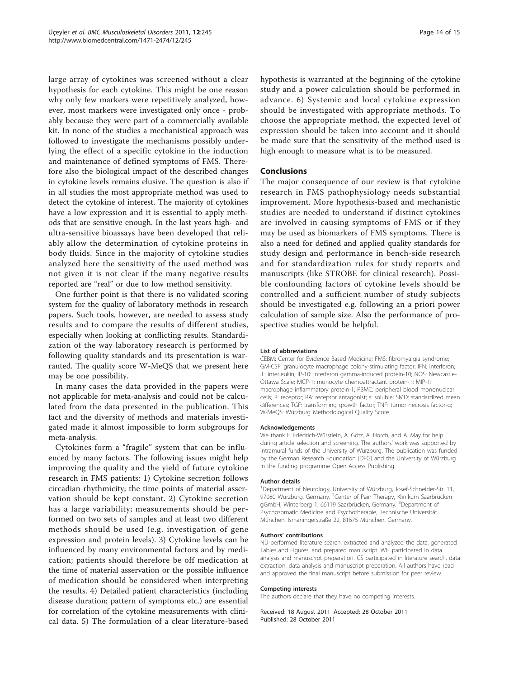large array of cytokines was screened without a clear hypothesis for each cytokine. This might be one reason why only few markers were repetitively analyzed, however, most markers were investigated only once - probably because they were part of a commercially available kit. In none of the studies a mechanistical approach was followed to investigate the mechanisms possibly underlying the effect of a specific cytokine in the induction and maintenance of defined symptoms of FMS. Therefore also the biological impact of the described changes in cytokine levels remains elusive. The question is also if in all studies the most appropriate method was used to detect the cytokine of interest. The majority of cytokines have a low expression and it is essential to apply methods that are sensitive enough. In the last years high- and ultra-sensitive bioassays have been developed that reliably allow the determination of cytokine proteins in body fluids. Since in the majority of cytokine studies analyzed here the sensitivity of the used method was not given it is not clear if the many negative results reported are "real" or due to low method sensitivity.

One further point is that there is no validated scoring system for the quality of laboratory methods in research papers. Such tools, however, are needed to assess study results and to compare the results of different studies, especially when looking at conflicting results. Standardization of the way laboratory research is performed by following quality standards and its presentation is warranted. The quality score W-MeQS that we present here may be one possibility.

In many cases the data provided in the papers were not applicable for meta-analysis and could not be calculated from the data presented in the publication. This fact and the diversity of methods and materials investigated made it almost impossible to form subgroups for meta-analysis.

Cytokines form a "fragile" system that can be influenced by many factors. The following issues might help improving the quality and the yield of future cytokine research in FMS patients: 1) Cytokine secretion follows circadian rhythmicity; the time points of material asservation should be kept constant. 2) Cytokine secretion has a large variability; measurements should be performed on two sets of samples and at least two different methods should be used (e.g. investigation of gene expression and protein levels). 3) Cytokine levels can be influenced by many environmental factors and by medication; patients should therefore be off medication at the time of material asservation or the possible influence of medication should be considered when interpreting the results. 4) Detailed patient characteristics (including disease duration; pattern of symptoms etc.) are essential for correlation of the cytokine measurements with clinical data. 5) The formulation of a clear literature-based

hypothesis is warranted at the beginning of the cytokine study and a power calculation should be performed in advance. 6) Systemic and local cytokine expression should be investigated with appropriate methods. To choose the appropriate method, the expected level of expression should be taken into account and it should be made sure that the sensitivity of the method used is high enough to measure what is to be measured.

### Conclusions

The major consequence of our review is that cytokine research in FMS pathophysiology needs substantial improvement. More hypothesis-based and mechanistic studies are needed to understand if distinct cytokines are involved in causing symptoms of FMS or if they may be used as biomarkers of FMS symptoms. There is also a need for defined and applied quality standards for study design and performance in bench-side research and for standardization rules for study reports and manuscripts (like STROBE for clinical research). Possible confounding factors of cytokine levels should be controlled and a sufficient number of study subjects should be investigated e.g. following an a priori power calculation of sample size. Also the performance of prospective studies would be helpful.

#### List of abbreviations

CEBM: Center for Evidence Based Medicine; FMS: fibromyalgia syndrome; GM-CSF: granulocyte macrophage colony-stimulating factor; IFN: interferon; IL: interleukin; IP-10: interferon gamma-induced protein-10; NOS: Newcastle-Ottawa Scale; MCP-1: monocyte chemoattractant protein-1; MIP-1: macrophage inflammatory protein-1; PBMC: peripheral blood mononuclear cells; R: receptor; RA: receptor antagonist; s: soluble; SMD: standardized mean differences; TGF: transforming growth factor; TNF: tumor necrosis factor-α; W-MeQS: Würzburg Methodological Quality Score.

#### Acknowledgements

We thank E. Friedrich-Würstlein, A. Götz, A. Horch, and A. May for help during article selection and screening. The authors' work was supported by intramural funds of the University of Würzburg. The publication was funded by the German Research Foundation (DFG) and the University of Würzburg in the funding programme Open Access Publishing.

#### Author details

<sup>1</sup>Department of Neurology, University of Würzburg, Josef-Schneider-Str. 11, 97080 Würzburg, Germany. <sup>2</sup>Center of Pain Therapy, Klinikum Saarbrücken gGmbH, Winterberg 1, 66119 Saarbrücken, Germany. <sup>3</sup>Department of Psychosomatic Medicine and Psychotherapie, Technische Universität München, Ismaningerstraße 22, 81675 München, Germany.

#### Authors' contributions

NÜ performed literature search, extracted and analyzed the data, generated Tables and Figures, and prepared manuscript. WH participated in data analysis and manuscript preparation. CS participated in literature search, data extraction, data analysis and manuscript preparation. All authors have read and approved the final manuscript before submission for peer review.

#### Competing interests

The authors declare that they have no competing interests.

Received: 18 August 2011 Accepted: 28 October 2011 Published: 28 October 2011